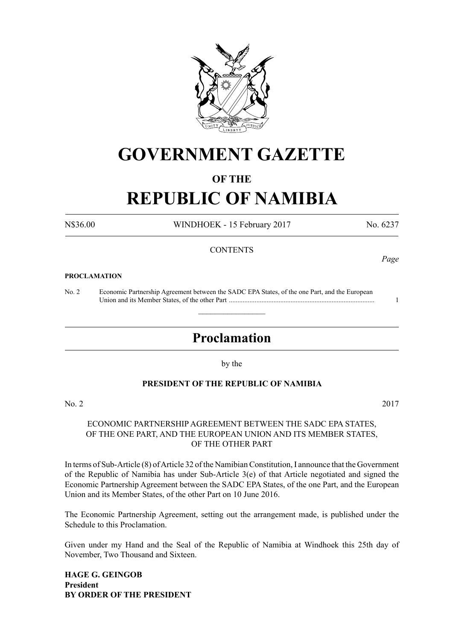

## **GOVERNMENT GAZETTE**

### **OF THE**

# **REPUBLIC OF NAMIBIA**

N\$36.00 WINDHOEK - 15 February 2017 No. 6237

### **CONTENTS**

#### **PROCLAMATION**

No. 2 Economic Partnership Agreement between the SADC EPA States, of the one Part, and the European Union and its Member States, of the other Part ..................................................................................... 1

## **Proclamation**

 $\overline{\phantom{a}}$  , where  $\overline{\phantom{a}}$ 

by the

#### **PRESIDENT OF THE REPUBLIC OF NAMIBIA**

No. 2 2017

### ECONOMIC PARTNERSHIP AGREEMENT BETWEEN THE SADC EPA STATES, OF THE ONE PART, AND THE EUROPEAN UNION AND ITS MEMBER STATES, OF THE OTHER PART

In terms of Sub-Article (8) of Article 32 of the Namibian Constitution, I announce that the Government of the Republic of Namibia has under Sub-Article  $3(e)$  of that Article negotiated and signed the Economic Partnership Agreement between the SADC EPA States, of the one Part, and the European Union and its Member States, of the other Part on 10 June 2016.

The Economic Partnership Agreement, setting out the arrangement made, is published under the Schedule to this Proclamation.

Given under my Hand and the Seal of the Republic of Namibia at Windhoek this 25th day of November, Two Thousand and Sixteen.

**Hage G. Geingob President BY ORDER OF THE PRESIDENT** *Page*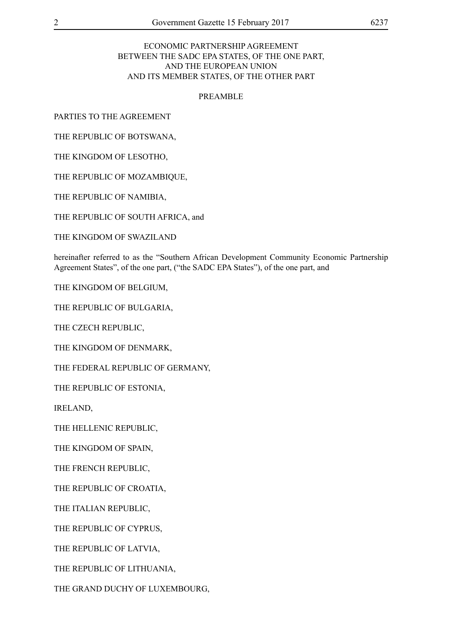### ECONOMIC PARTNERSHIP AGREEMENT BETWEEN THE SADC EPA STATES, OF THE ONE PART, AND THE EUROPEAN UNION AND ITS MEMBER STATES, OF THE OTHER PART

#### PREAMBLE

PARTIES TO THE AGREEMENT

THE REPUBLIC OF BOTSWANA,

THE KINGDOM OF LESOTHO,

THE REPUBLIC OF MOZAMBIQUE,

THE REPUBLIC OF NAMIBIA,

THE REPUBLIC OF SOUTH AFRICA, and

THE KINGDOM OF SWAZILAND

hereinafter referred to as the "Southern African Development Community Economic Partnership Agreement States", of the one part, ("the SADC EPA States"), of the one part, and

THE KINGDOM OF BELGIUM,

THE REPUBLIC OF BULGARIA,

THE CZECH REPUBLIC,

THE KINGDOM OF DENMARK,

THE FEDERAL REPUBLIC OF GERMANY,

THE REPUBLIC OF ESTONIA,

IRELAND,

THE HELLENIC REPUBLIC,

THE KINGDOM OF SPAIN,

THE FRENCH REPUBLIC,

THE REPUBLIC OF CROATIA,

THE ITALIAN REPUBLIC,

THE REPUBLIC OF CYPRUS,

THE REPUBLIC OF LATVIA,

THE REPUBLIC OF LITHUANIA,

THE GRAND DUCHY OF LUXEMBOURG,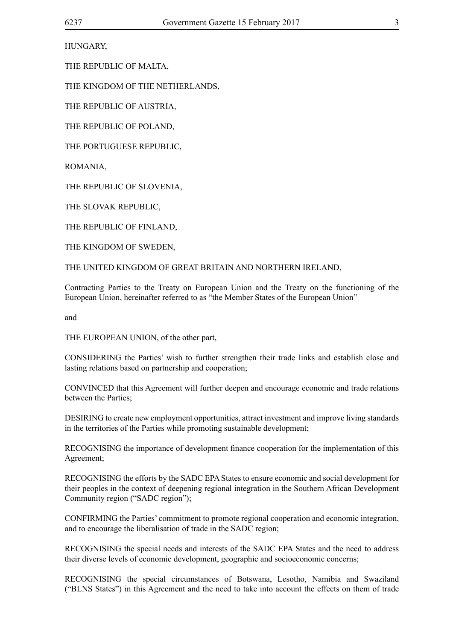HUNGARY,

THE REPUBLIC OF MALTA,

THE KINGDOM OF THE NETHERLANDS,

THE REPUBLIC OF AUSTRIA,

THE REPUBLIC OF POLAND,

THE PORTUGUESE REPUBLIC,

ROMANIA,

THE REPUBLIC OF SLOVENIA,

THE SLOVAK REPUBLIC,

THE REPUBLIC OF FINLAND,

THE KINGDOM OF SWEDEN,

THE UNITED KINGDOM OF GREAT BRITAIN AND NORTHERN IRELAND,

Contracting Parties to the Treaty on European Union and the Treaty on the functioning of the European Union, hereinafter referred to as "the Member States of the European Union"

and

THE EUROPEAN UNION, of the other part,

CONSIDERING the Parties' wish to further strengthen their trade links and establish close and lasting relations based on partnership and cooperation;

CONVINCED that this Agreement will further deepen and encourage economic and trade relations between the Parties;

DESIRING to create new employment opportunities, attract investment and improve living standards in the territories of the Parties while promoting sustainable development;

RECOGNISING the importance of development finance cooperation for the implementation of this Agreement;

RECOGNISING the efforts by the SADC EPA States to ensure economic and social development for their peoples in the context of deepening regional integration in the Southern African Development Community region ("SADC region");

CONFIRMING the Parties' commitment to promote regional cooperation and economic integration, and to encourage the liberalisation of trade in the SADC region;

RECOGNISING the special needs and interests of the SADC EPA States and the need to address their diverse levels of economic development, geographic and socioeconomic concerns;

RECOGNISING the special circumstances of Botswana, Lesotho, Namibia and Swaziland ("BLNS States") in this Agreement and the need to take into account the effects on them of trade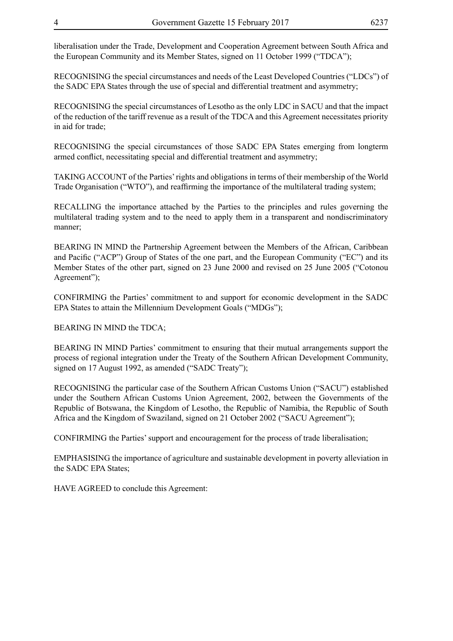liberalisation under the Trade, Development and Cooperation Agreement between South Africa and the European Community and its Member States, signed on 11 October 1999 ("TDCA");

RECOGNISING the special circumstances and needs of the Least Developed Countries ("LDCs") of the SADC EPA States through the use of special and differential treatment and asymmetry;

RECOGNISING the special circumstances of Lesotho as the only LDC in SACU and that the impact of the reduction of the tariff revenue as a result of the TDCA and this Agreement necessitates priority in aid for trade;

RECOGNISING the special circumstances of those SADC EPA States emerging from longterm armed conflict, necessitating special and differential treatment and asymmetry;

TAKING ACCOUNT of the Parties' rights and obligations in terms of their membership of the World Trade Organisation ("WTO"), and reaffirming the importance of the multilateral trading system;

RECALLING the importance attached by the Parties to the principles and rules governing the multilateral trading system and to the need to apply them in a transparent and nondiscriminatory manner;

BEARING IN MIND the Partnership Agreement between the Members of the African, Caribbean and Pacific ("ACP") Group of States of the one part, and the European Community ("EC") and its Member States of the other part, signed on 23 June 2000 and revised on 25 June 2005 ("Cotonou Agreement");

CONFIRMING the Parties' commitment to and support for economic development in the SADC EPA States to attain the Millennium Development Goals ("MDGs");

BEARING IN MIND the TDCA;

BEARING IN MIND Parties' commitment to ensuring that their mutual arrangements support the process of regional integration under the Treaty of the Southern African Development Community, signed on 17 August 1992, as amended ("SADC Treaty");

RECOGNISING the particular case of the Southern African Customs Union ("SACU") established under the Southern African Customs Union Agreement, 2002, between the Governments of the Republic of Botswana, the Kingdom of Lesotho, the Republic of Namibia, the Republic of South Africa and the Kingdom of Swaziland, signed on 21 October 2002 ("SACU Agreement");

CONFIRMING the Parties' support and encouragement for the process of trade liberalisation;

EMPHASISING the importance of agriculture and sustainable development in poverty alleviation in the SADC EPA States;

HAVE AGREED to conclude this Agreement: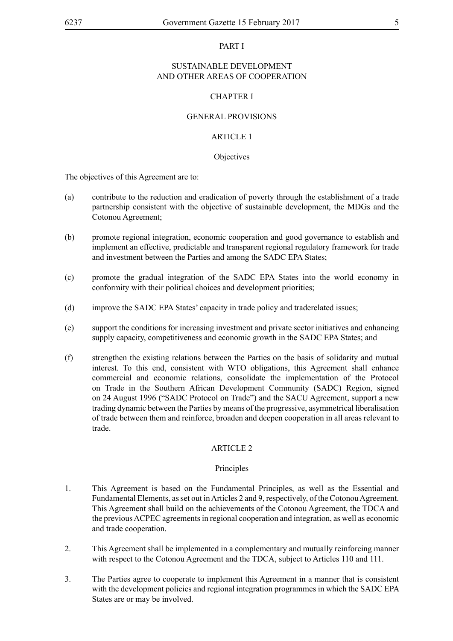#### PART I

### SUSTAINABLE DEVELOPMENT AND OTHER AREAS OF COOPERATION

### CHAPTER I

### GENERAL PROVISIONS

### ARTICLE 1

#### **Objectives**

The objectives of this Agreement are to:

- (a) contribute to the reduction and eradication of poverty through the establishment of a trade partnership consistent with the objective of sustainable development, the MDGs and the Cotonou Agreement;
- (b) promote regional integration, economic cooperation and good governance to establish and implement an effective, predictable and transparent regional regulatory framework for trade and investment between the Parties and among the SADC EPA States;
- (c) promote the gradual integration of the SADC EPA States into the world economy in conformity with their political choices and development priorities;
- (d) improve the SADC EPA States' capacity in trade policy and traderelated issues;
- (e) support the conditions for increasing investment and private sector initiatives and enhancing supply capacity, competitiveness and economic growth in the SADC EPA States; and
- (f) strengthen the existing relations between the Parties on the basis of solidarity and mutual interest. To this end, consistent with WTO obligations, this Agreement shall enhance commercial and economic relations, consolidate the implementation of the Protocol on Trade in the Southern African Development Community (SADC) Region, signed on 24 August 1996 ("SADC Protocol on Trade") and the SACU Agreement, support a new trading dynamic between the Parties by means of the progressive, asymmetrical liberalisation of trade between them and reinforce, broaden and deepen cooperation in all areas relevant to trade.

#### ARTICLE 2

#### Principles

- 1. This Agreement is based on the Fundamental Principles, as well as the Essential and Fundamental Elements, as set out in Articles 2 and 9, respectively, of the Cotonou Agreement. This Agreement shall build on the achievements of the Cotonou Agreement, the TDCA and the previous ACPEC agreements in regional cooperation and integration, as well as economic and trade cooperation.
- 2. This Agreement shall be implemented in a complementary and mutually reinforcing manner with respect to the Cotonou Agreement and the TDCA, subject to Articles 110 and 111.
- 3. The Parties agree to cooperate to implement this Agreement in a manner that is consistent with the development policies and regional integration programmes in which the SADC EPA States are or may be involved.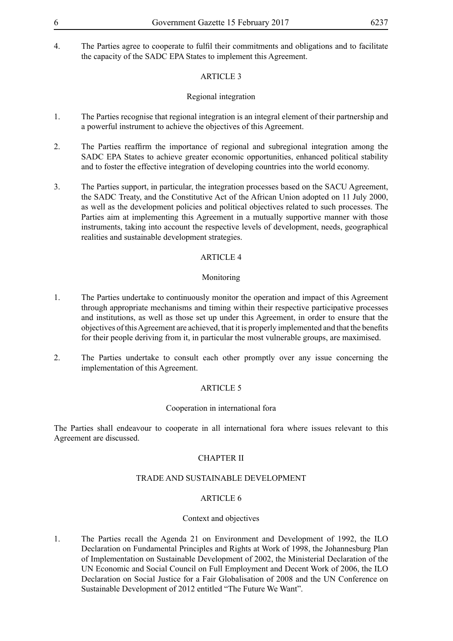4. The Parties agree to cooperate to fulfil their commitments and obligations and to facilitate the capacity of the SADC EPA States to implement this Agreement.

### ARTICLE 3

### Regional integration

- 1. The Parties recognise that regional integration is an integral element of their partnership and a powerful instrument to achieve the objectives of this Agreement.
- 2. The Parties reaffirm the importance of regional and subregional integration among the SADC EPA States to achieve greater economic opportunities, enhanced political stability and to foster the effective integration of developing countries into the world economy.
- 3. The Parties support, in particular, the integration processes based on the SACU Agreement, the SADC Treaty, and the Constitutive Act of the African Union adopted on 11 July 2000, as well as the development policies and political objectives related to such processes. The Parties aim at implementing this Agreement in a mutually supportive manner with those instruments, taking into account the respective levels of development, needs, geographical realities and sustainable development strategies.

### ARTICLE 4

### Monitoring

- 1. The Parties undertake to continuously monitor the operation and impact of this Agreement through appropriate mechanisms and timing within their respective participative processes and institutions, as well as those set up under this Agreement, in order to ensure that the objectives of this Agreement are achieved, that it is properly implemented and that the benefits for their people deriving from it, in particular the most vulnerable groups, are maximised.
- 2. The Parties undertake to consult each other promptly over any issue concerning the implementation of this Agreement.

### ARTICLE 5

#### Cooperation in international fora

The Parties shall endeavour to cooperate in all international fora where issues relevant to this Agreement are discussed.

### CHAPTER II

#### TRADE AND SUSTAINABLE DEVELOPMENT

### ARTICLE 6

#### Context and objectives

1. The Parties recall the Agenda 21 on Environment and Development of 1992, the ILO Declaration on Fundamental Principles and Rights at Work of 1998, the Johannesburg Plan of Implementation on Sustainable Development of 2002, the Ministerial Declaration of the UN Economic and Social Council on Full Employment and Decent Work of 2006, the ILO Declaration on Social Justice for a Fair Globalisation of 2008 and the UN Conference on Sustainable Development of 2012 entitled "The Future We Want".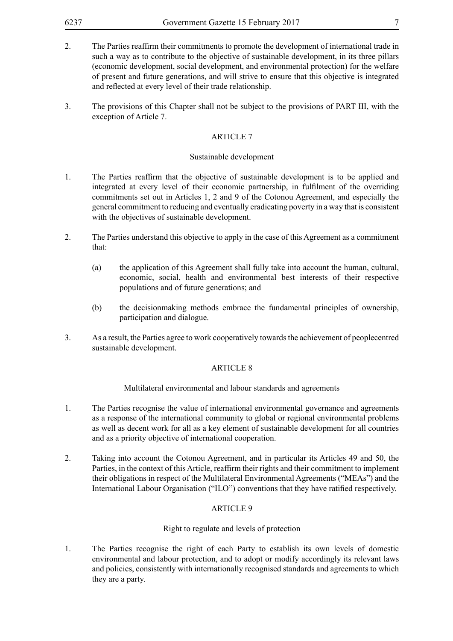- 2. The Parties reaffirm their commitments to promote the development of international trade in such a way as to contribute to the objective of sustainable development, in its three pillars (economic development, social development, and environmental protection) for the welfare of present and future generations, and will strive to ensure that this objective is integrated and reflected at every level of their trade relationship.
- 3. The provisions of this Chapter shall not be subject to the provisions of PART III, with the exception of Article 7.

#### Sustainable development

- 1. The Parties reaffirm that the objective of sustainable development is to be applied and integrated at every level of their economic partnership, in fulfilment of the overriding commitments set out in Articles 1, 2 and 9 of the Cotonou Agreement, and especially the general commitment to reducing and eventually eradicating poverty in a way that is consistent with the objectives of sustainable development.
- 2. The Parties understand this objective to apply in the case of this Agreement as a commitment that:
	- (a) the application of this Agreement shall fully take into account the human, cultural, economic, social, health and environmental best interests of their respective populations and of future generations; and
	- (b) the decisionmaking methods embrace the fundamental principles of ownership, participation and dialogue.
- 3. As a result, the Parties agree to work cooperatively towards the achievement of peoplecentred sustainable development.

#### ARTICLE 8

Multilateral environmental and labour standards and agreements

- 1. The Parties recognise the value of international environmental governance and agreements as a response of the international community to global or regional environmental problems as well as decent work for all as a key element of sustainable development for all countries and as a priority objective of international cooperation.
- 2. Taking into account the Cotonou Agreement, and in particular its Articles 49 and 50, the Parties, in the context of this Article, reaffirm their rights and their commitment to implement their obligations in respect of the Multilateral Environmental Agreements ("MEAs") and the International Labour Organisation ("ILO") conventions that they have ratified respectively.

### ARTICLE 9

### Right to regulate and levels of protection

1. The Parties recognise the right of each Party to establish its own levels of domestic environmental and labour protection, and to adopt or modify accordingly its relevant laws and policies, consistently with internationally recognised standards and agreements to which they are a party.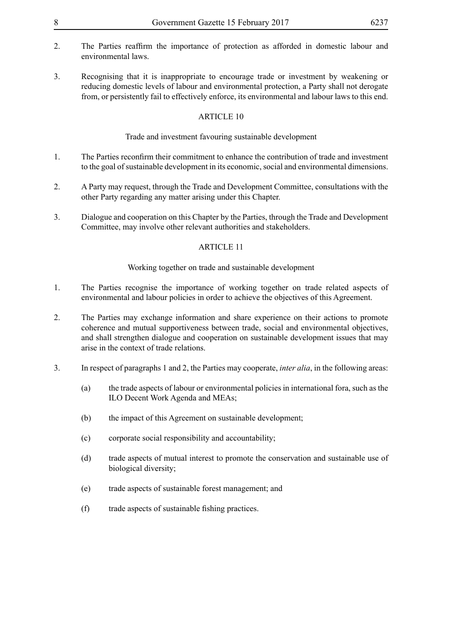- 2. The Parties reaffirm the importance of protection as afforded in domestic labour and environmental laws.
- 3. Recognising that it is inappropriate to encourage trade or investment by weakening or reducing domestic levels of labour and environmental protection, a Party shall not derogate from, or persistently fail to effectively enforce, its environmental and labour laws to this end.

### Trade and investment favouring sustainable development

- 1. The Parties reconfirm their commitment to enhance the contribution of trade and investment to the goal of sustainable development in its economic, social and environmental dimensions.
- 2. A Party may request, through the Trade and Development Committee, consultations with the other Party regarding any matter arising under this Chapter.
- 3. Dialogue and cooperation on this Chapter by the Parties, through the Trade and Development Committee, may involve other relevant authorities and stakeholders.

### ARTICLE 11

### Working together on trade and sustainable development

- 1. The Parties recognise the importance of working together on trade related aspects of environmental and labour policies in order to achieve the objectives of this Agreement.
- 2. The Parties may exchange information and share experience on their actions to promote coherence and mutual supportiveness between trade, social and environmental objectives, and shall strengthen dialogue and cooperation on sustainable development issues that may arise in the context of trade relations.
- 3. In respect of paragraphs 1 and 2, the Parties may cooperate, *inter alia*, in the following areas:
	- (a) the trade aspects of labour or environmental policies in international fora, such as the ILO Decent Work Agenda and MEAs;
	- (b) the impact of this Agreement on sustainable development;
	- (c) corporate social responsibility and accountability;
	- (d) trade aspects of mutual interest to promote the conservation and sustainable use of biological diversity;
	- (e) trade aspects of sustainable forest management; and
	- (f) trade aspects of sustainable fishing practices.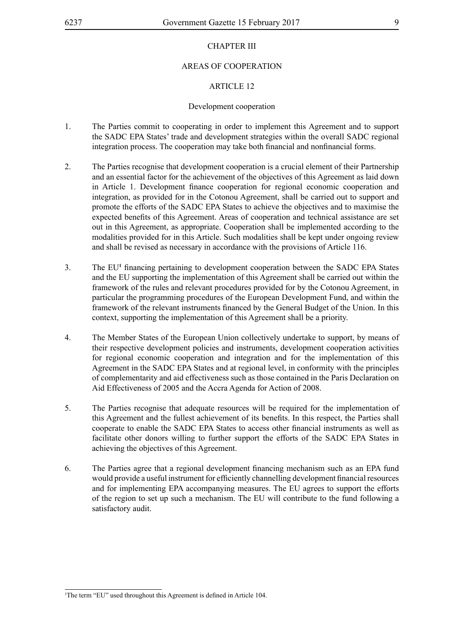### AREAS OF COOPERATION

### ARTICLE 12

#### Development cooperation

- 1. The Parties commit to cooperating in order to implement this Agreement and to support the SADC EPA States' trade and development strategies within the overall SADC regional integration process. The cooperation may take both financial and nonfinancial forms.
- 2. The Parties recognise that development cooperation is a crucial element of their Partnership and an essential factor for the achievement of the objectives of this Agreement as laid down in Article 1. Development finance cooperation for regional economic cooperation and integration, as provided for in the Cotonou Agreement, shall be carried out to support and promote the efforts of the SADC EPA States to achieve the objectives and to maximise the expected benefits of this Agreement. Areas of cooperation and technical assistance are set out in this Agreement, as appropriate. Cooperation shall be implemented according to the modalities provided for in this Article. Such modalities shall be kept under ongoing review and shall be revised as necessary in accordance with the provisions of Article 116.
- 3. The EU**<sup>1</sup>** financing pertaining to development cooperation between the SADC EPA States and the EU supporting the implementation of this Agreement shall be carried out within the framework of the rules and relevant procedures provided for by the Cotonou Agreement, in particular the programming procedures of the European Development Fund, and within the framework of the relevant instruments financed by the General Budget of the Union. In this context, supporting the implementation of this Agreement shall be a priority.
- 4. The Member States of the European Union collectively undertake to support, by means of their respective development policies and instruments, development cooperation activities for regional economic cooperation and integration and for the implementation of this Agreement in the SADC EPA States and at regional level, in conformity with the principles of complementarity and aid effectiveness such as those contained in the Paris Declaration on Aid Effectiveness of 2005 and the Accra Agenda for Action of 2008.
- 5. The Parties recognise that adequate resources will be required for the implementation of this Agreement and the fullest achievement of its benefits. In this respect, the Parties shall cooperate to enable the SADC EPA States to access other financial instruments as well as facilitate other donors willing to further support the efforts of the SADC EPA States in achieving the objectives of this Agreement.
- 6. The Parties agree that a regional development financing mechanism such as an EPA fund would provide a useful instrument for efficiently channelling development financial resources and for implementing EPA accompanying measures. The EU agrees to support the efforts of the region to set up such a mechanism. The EU will contribute to the fund following a satisfactory audit.

<sup>1</sup> The term "EU" used throughout this Agreement is defined in Article 104.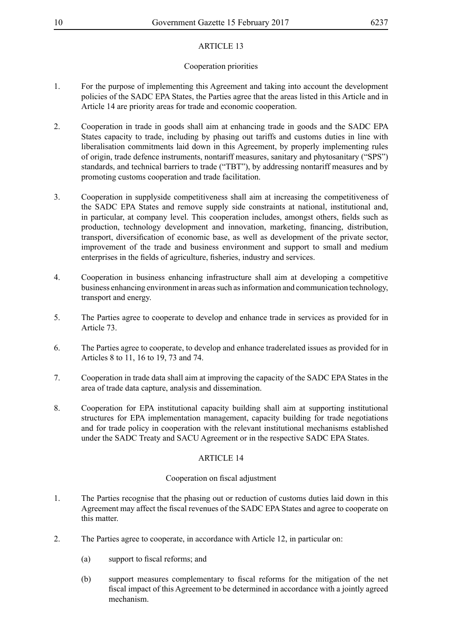### Cooperation priorities

- 1. For the purpose of implementing this Agreement and taking into account the development policies of the SADC EPA States, the Parties agree that the areas listed in this Article and in Article 14 are priority areas for trade and economic cooperation.
- 2. Cooperation in trade in goods shall aim at enhancing trade in goods and the SADC EPA States capacity to trade, including by phasing out tariffs and customs duties in line with liberalisation commitments laid down in this Agreement, by properly implementing rules of origin, trade defence instruments, nontariff measures, sanitary and phytosanitary ("SPS") standards, and technical barriers to trade ("TBT"), by addressing nontariff measures and by promoting customs cooperation and trade facilitation.
- 3. Cooperation in supplyside competitiveness shall aim at increasing the competitiveness of the SADC EPA States and remove supply side constraints at national, institutional and, in particular, at company level. This cooperation includes, amongst others, fields such as production, technology development and innovation, marketing, financing, distribution, transport, diversification of economic base, as well as development of the private sector, improvement of the trade and business environment and support to small and medium enterprises in the fields of agriculture, fisheries, industry and services.
- 4. Cooperation in business enhancing infrastructure shall aim at developing a competitive business enhancing environment in areas such as information and communication technology, transport and energy.
- 5. The Parties agree to cooperate to develop and enhance trade in services as provided for in Article 73.
- 6. The Parties agree to cooperate, to develop and enhance traderelated issues as provided for in Articles 8 to 11, 16 to 19, 73 and 74.
- 7. Cooperation in trade data shall aim at improving the capacity of the SADC EPA States in the area of trade data capture, analysis and dissemination.
- 8. Cooperation for EPA institutional capacity building shall aim at supporting institutional structures for EPA implementation management, capacity building for trade negotiations and for trade policy in cooperation with the relevant institutional mechanisms established under the SADC Treaty and SACU Agreement or in the respective SADC EPA States.

### ARTICLE 14

#### Cooperation on fiscal adjustment

- 1. The Parties recognise that the phasing out or reduction of customs duties laid down in this Agreement may affect the fiscal revenues of the SADC EPA States and agree to cooperate on this matter.
- 2. The Parties agree to cooperate, in accordance with Article 12, in particular on:
	- (a) support to fiscal reforms; and
	- (b) support measures complementary to fiscal reforms for the mitigation of the net fiscal impact of this Agreement to be determined in accordance with a jointly agreed mechanism.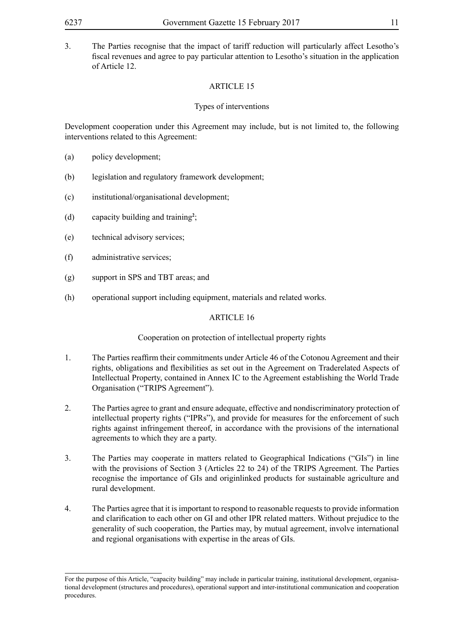3. The Parties recognise that the impact of tariff reduction will particularly affect Lesotho's fiscal revenues and agree to pay particular attention to Lesotho's situation in the application of Article 12.

### ARTICLE 15

### Types of interventions

Development cooperation under this Agreement may include, but is not limited to, the following interventions related to this Agreement:

- (a) policy development;
- (b) legislation and regulatory framework development;
- (c) institutional/organisational development;
- (d) capacity building and training**<sup>2</sup>** ;
- (e) technical advisory services;
- (f) administrative services;
- (g) support in SPS and TBT areas; and
- (h) operational support including equipment, materials and related works.

### ARTICLE 16

#### Cooperation on protection of intellectual property rights

- 1. The Parties reaffirm their commitments under Article 46 of the Cotonou Agreement and their rights, obligations and flexibilities as set out in the Agreement on Traderelated Aspects of Intellectual Property, contained in Annex IC to the Agreement establishing the World Trade Organisation ("TRIPS Agreement").
- 2. The Parties agree to grant and ensure adequate, effective and nondiscriminatory protection of intellectual property rights ("IPRs"), and provide for measures for the enforcement of such rights against infringement thereof, in accordance with the provisions of the international agreements to which they are a party.
- 3. The Parties may cooperate in matters related to Geographical Indications ("GIs") in line with the provisions of Section 3 (Articles 22 to 24) of the TRIPS Agreement. The Parties recognise the importance of GIs and originlinked products for sustainable agriculture and rural development.
- 4. The Parties agree that it is important to respond to reasonable requests to provide information and clarification to each other on GI and other IPR related matters. Without prejudice to the generality of such cooperation, the Parties may, by mutual agreement, involve international and regional organisations with expertise in the areas of GIs.

For the purpose of this Article, "capacity building" may include in particular training, institutional development, organisational development (structures and procedures), operational support and inter-institutional communication and cooperation procedures.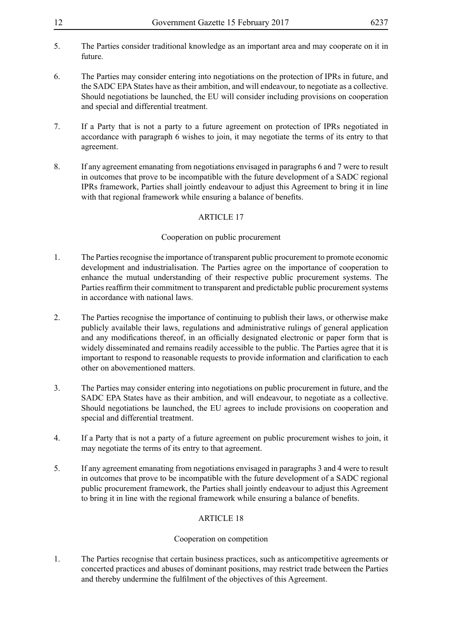- 5. The Parties consider traditional knowledge as an important area and may cooperate on it in future.
- 6. The Parties may consider entering into negotiations on the protection of IPRs in future, and the SADC EPA States have as their ambition, and will endeavour, to negotiate as a collective. Should negotiations be launched, the EU will consider including provisions on cooperation and special and differential treatment.
- 7. If a Party that is not a party to a future agreement on protection of IPRs negotiated in accordance with paragraph 6 wishes to join, it may negotiate the terms of its entry to that agreement.
- 8. If any agreement emanating from negotiations envisaged in paragraphs 6 and 7 were to result in outcomes that prove to be incompatible with the future development of a SADC regional IPRs framework, Parties shall jointly endeavour to adjust this Agreement to bring it in line with that regional framework while ensuring a balance of benefits.

### Cooperation on public procurement

- 1. The Parties recognise the importance of transparent public procurement to promote economic development and industrialisation. The Parties agree on the importance of cooperation to enhance the mutual understanding of their respective public procurement systems. The Parties reaffirm their commitment to transparent and predictable public procurement systems in accordance with national laws.
- 2. The Parties recognise the importance of continuing to publish their laws, or otherwise make publicly available their laws, regulations and administrative rulings of general application and any modifications thereof, in an officially designated electronic or paper form that is widely disseminated and remains readily accessible to the public. The Parties agree that it is important to respond to reasonable requests to provide information and clarification to each other on abovementioned matters.
- 3. The Parties may consider entering into negotiations on public procurement in future, and the SADC EPA States have as their ambition, and will endeavour, to negotiate as a collective. Should negotiations be launched, the EU agrees to include provisions on cooperation and special and differential treatment.
- 4. If a Party that is not a party of a future agreement on public procurement wishes to join, it may negotiate the terms of its entry to that agreement.
- 5. If any agreement emanating from negotiations envisaged in paragraphs 3 and 4 were to result in outcomes that prove to be incompatible with the future development of a SADC regional public procurement framework, the Parties shall jointly endeavour to adjust this Agreement to bring it in line with the regional framework while ensuring a balance of benefits.

### ARTICLE 18

#### Cooperation on competition

1. The Parties recognise that certain business practices, such as anticompetitive agreements or concerted practices and abuses of dominant positions, may restrict trade between the Parties and thereby undermine the fulfilment of the objectives of this Agreement.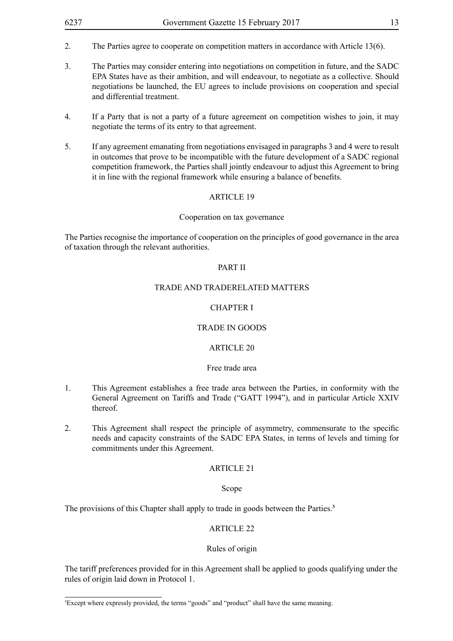- 2. The Parties agree to cooperate on competition matters in accordance with Article 13(6).
- 3. The Parties may consider entering into negotiations on competition in future, and the SADC EPA States have as their ambition, and will endeavour, to negotiate as a collective. Should negotiations be launched, the EU agrees to include provisions on cooperation and special and differential treatment.
- 4. If a Party that is not a party of a future agreement on competition wishes to join, it may negotiate the terms of its entry to that agreement.
- 5. If any agreement emanating from negotiations envisaged in paragraphs 3 and 4 were to result in outcomes that prove to be incompatible with the future development of a SADC regional competition framework, the Parties shall jointly endeavour to adjust this Agreement to bring it in line with the regional framework while ensuring a balance of benefits.

#### Cooperation on tax governance

The Parties recognise the importance of cooperation on the principles of good governance in the area of taxation through the relevant authorities.

#### PART II

#### TRADE AND TRADERELATED MATTERS

#### CHAPTER I

#### TRADE IN GOODS

### ARTICLE 20

#### Free trade area

- 1. This Agreement establishes a free trade area between the Parties, in conformity with the General Agreement on Tariffs and Trade ("GATT 1994"), and in particular Article XXIV thereof.
- 2. This Agreement shall respect the principle of asymmetry, commensurate to the specific needs and capacity constraints of the SADC EPA States, in terms of levels and timing for commitments under this Agreement.

#### ARTICLE 21

#### Scope

The provisions of this Chapter shall apply to trade in goods between the Parties.**<sup>3</sup>**

### ARTICLE 22

#### Rules of origin

The tariff preferences provided for in this Agreement shall be applied to goods qualifying under the rules of origin laid down in Protocol 1.

<sup>3</sup> Except where expressly provided, the terms "goods" and "product" shall have the same meaning.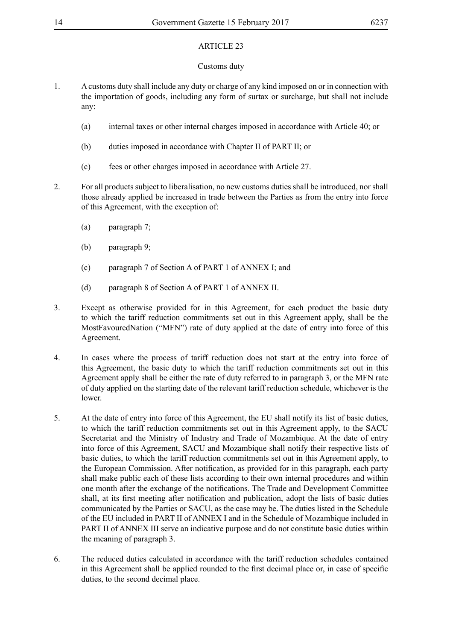### Customs duty

- 1. A customs duty shall include any duty or charge of any kind imposed on or in connection with the importation of goods, including any form of surtax or surcharge, but shall not include any:
	- (a) internal taxes or other internal charges imposed in accordance with Article 40; or
	- (b) duties imposed in accordance with Chapter II of PART II; or
	- (c) fees or other charges imposed in accordance with Article 27.
- 2. For all products subject to liberalisation, no new customs duties shall be introduced, nor shall those already applied be increased in trade between the Parties as from the entry into force of this Agreement, with the exception of:
	- (a) paragraph 7;
	- (b) paragraph 9;
	- (c) paragraph 7 of Section A of PART 1 of ANNEX I; and
	- (d) paragraph 8 of Section A of PART 1 of ANNEX II.
- 3. Except as otherwise provided for in this Agreement, for each product the basic duty to which the tariff reduction commitments set out in this Agreement apply, shall be the MostFavouredNation ("MFN") rate of duty applied at the date of entry into force of this Agreement.
- 4. In cases where the process of tariff reduction does not start at the entry into force of this Agreement, the basic duty to which the tariff reduction commitments set out in this Agreement apply shall be either the rate of duty referred to in paragraph 3, or the MFN rate of duty applied on the starting date of the relevant tariff reduction schedule, whichever is the lower.
- 5. At the date of entry into force of this Agreement, the EU shall notify its list of basic duties, to which the tariff reduction commitments set out in this Agreement apply, to the SACU Secretariat and the Ministry of Industry and Trade of Mozambique. At the date of entry into force of this Agreement, SACU and Mozambique shall notify their respective lists of basic duties, to which the tariff reduction commitments set out in this Agreement apply, to the European Commission. After notification, as provided for in this paragraph, each party shall make public each of these lists according to their own internal procedures and within one month after the exchange of the notifications. The Trade and Development Committee shall, at its first meeting after notification and publication, adopt the lists of basic duties communicated by the Parties or SACU, as the case may be. The duties listed in the Schedule of the EU included in PART II of ANNEX I and in the Schedule of Mozambique included in PART II of ANNEX III serve an indicative purpose and do not constitute basic duties within the meaning of paragraph 3.
- 6. The reduced duties calculated in accordance with the tariff reduction schedules contained in this Agreement shall be applied rounded to the first decimal place or, in case of specific duties, to the second decimal place.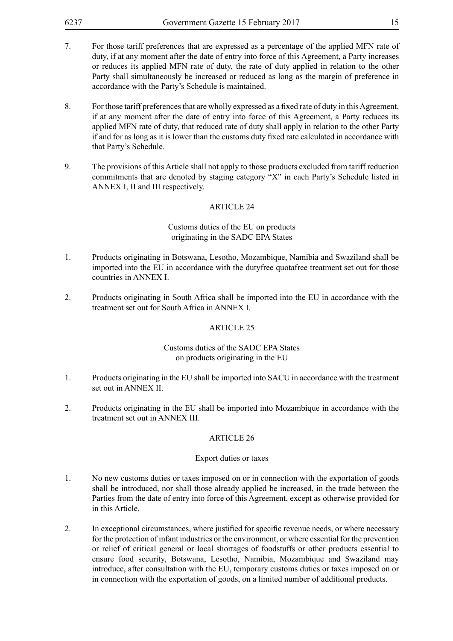- 7. For those tariff preferences that are expressed as a percentage of the applied MFN rate of duty, if at any moment after the date of entry into force of this Agreement, a Party increases or reduces its applied MFN rate of duty, the rate of duty applied in relation to the other Party shall simultaneously be increased or reduced as long as the margin of preference in accordance with the Party's Schedule is maintained.
- 8. For those tariff preferences that are wholly expressed as a fixed rate of duty in this Agreement, if at any moment after the date of entry into force of this Agreement, a Party reduces its applied MFN rate of duty, that reduced rate of duty shall apply in relation to the other Party if and for as long as it is lower than the customs duty fixed rate calculated in accordance with that Party's Schedule.
- 9. The provisions of this Article shall not apply to those products excluded from tariff reduction commitments that are denoted by staging category "X" in each Party's Schedule listed in ANNEX I, II and III respectively.

#### Customs duties of the EU on products originating in the SADC EPA States

- 1. Products originating in Botswana, Lesotho, Mozambique, Namibia and Swaziland shall be imported into the EU in accordance with the dutyfree quotafree treatment set out for those countries in ANNEX I.
- 2. Products originating in South Africa shall be imported into the EU in accordance with the treatment set out for South Africa in ANNEX I.

#### ARTICLE 25

### Customs duties of the SADC EPA States on products originating in the EU

- 1. Products originating in the EU shall be imported into SACU in accordance with the treatment set out in ANNEX II.
- 2. Products originating in the EU shall be imported into Mozambique in accordance with the treatment set out in ANNEX III.

#### ARTICLE 26

#### Export duties or taxes

- 1. No new customs duties or taxes imposed on or in connection with the exportation of goods shall be introduced, nor shall those already applied be increased, in the trade between the Parties from the date of entry into force of this Agreement, except as otherwise provided for in this Article.
- 2. In exceptional circumstances, where justified for specific revenue needs, or where necessary for the protection of infant industries or the environment, or where essential for the prevention or relief of critical general or local shortages of foodstuffs or other products essential to ensure food security, Botswana, Lesotho, Namibia, Mozambique and Swaziland may introduce, after consultation with the EU, temporary customs duties or taxes imposed on or in connection with the exportation of goods, on a limited number of additional products.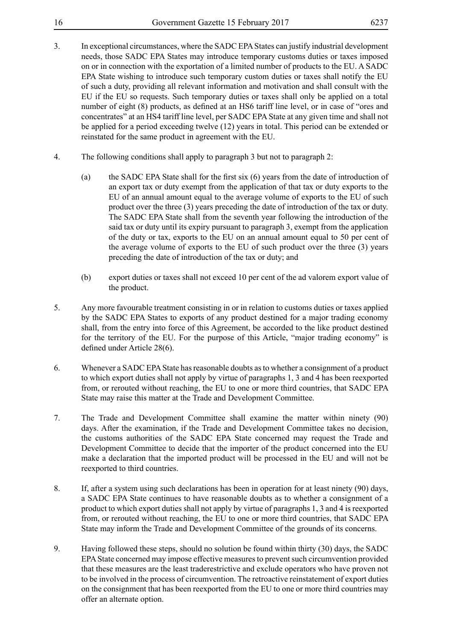- 
- 3. In exceptional circumstances, where the SADC EPA States can justify industrial development needs, those SADC EPA States may introduce temporary customs duties or taxes imposed on or in connection with the exportation of a limited number of products to the EU. A SADC EPA State wishing to introduce such temporary custom duties or taxes shall notify the EU of such a duty, providing all relevant information and motivation and shall consult with the EU if the EU so requests. Such temporary duties or taxes shall only be applied on a total number of eight (8) products, as defined at an HS6 tariff line level, or in case of "ores and concentrates" at an HS4 tariff line level, per SADC EPA State at any given time and shall not be applied for a period exceeding twelve (12) years in total. This period can be extended or reinstated for the same product in agreement with the EU.
- 4. The following conditions shall apply to paragraph 3 but not to paragraph 2:
	- (a) the SADC EPA State shall for the first six (6) years from the date of introduction of an export tax or duty exempt from the application of that tax or duty exports to the EU of an annual amount equal to the average volume of exports to the EU of such product over the three (3) years preceding the date of introduction of the tax or duty. The SADC EPA State shall from the seventh year following the introduction of the said tax or duty until its expiry pursuant to paragraph 3, exempt from the application of the duty or tax, exports to the EU on an annual amount equal to 50 per cent of the average volume of exports to the EU of such product over the three (3) years preceding the date of introduction of the tax or duty; and
	- (b) export duties or taxes shall not exceed 10 per cent of the ad valorem export value of the product.
- 5. Any more favourable treatment consisting in or in relation to customs duties or taxes applied by the SADC EPA States to exports of any product destined for a major trading economy shall, from the entry into force of this Agreement, be accorded to the like product destined for the territory of the EU. For the purpose of this Article, "major trading economy" is defined under Article 28(6).
- 6. Whenever a SADC EPA State has reasonable doubts as to whether a consignment of a product to which export duties shall not apply by virtue of paragraphs 1, 3 and 4 has been reexported from, or rerouted without reaching, the EU to one or more third countries, that SADC EPA State may raise this matter at the Trade and Development Committee.
- 7. The Trade and Development Committee shall examine the matter within ninety (90) days. After the examination, if the Trade and Development Committee takes no decision, the customs authorities of the SADC EPA State concerned may request the Trade and Development Committee to decide that the importer of the product concerned into the EU make a declaration that the imported product will be processed in the EU and will not be reexported to third countries.
- 8. If, after a system using such declarations has been in operation for at least ninety (90) days, a SADC EPA State continues to have reasonable doubts as to whether a consignment of a product to which export duties shall not apply by virtue of paragraphs 1, 3 and 4 is reexported from, or rerouted without reaching, the EU to one or more third countries, that SADC EPA State may inform the Trade and Development Committee of the grounds of its concerns.
- 9. Having followed these steps, should no solution be found within thirty (30) days, the SADC EPA State concerned may impose effective measures to prevent such circumvention provided that these measures are the least traderestrictive and exclude operators who have proven not to be involved in the process of circumvention. The retroactive reinstatement of export duties on the consignment that has been reexported from the EU to one or more third countries may offer an alternate option.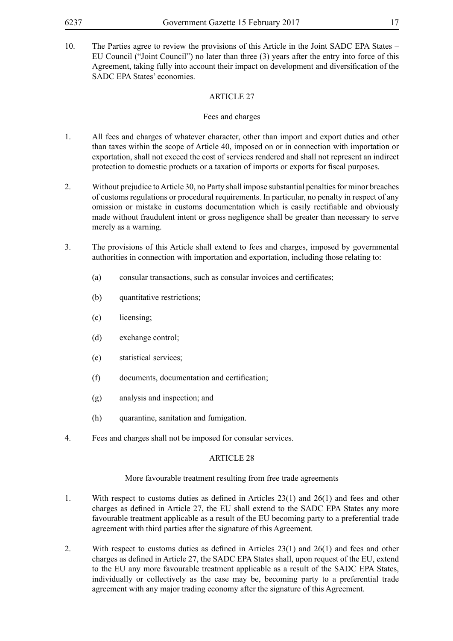10. The Parties agree to review the provisions of this Article in the Joint SADC EPA States – EU Council ("Joint Council") no later than three (3) years after the entry into force of this Agreement, taking fully into account their impact on development and diversification of the SADC EPA States' economies.

### ARTICLE 27

### Fees and charges

- 1. All fees and charges of whatever character, other than import and export duties and other than taxes within the scope of Article 40, imposed on or in connection with importation or exportation, shall not exceed the cost of services rendered and shall not represent an indirect protection to domestic products or a taxation of imports or exports for fiscal purposes.
- 2. Without prejudice to Article 30, no Party shall impose substantial penalties for minor breaches of customs regulations or procedural requirements. In particular, no penalty in respect of any omission or mistake in customs documentation which is easily rectifiable and obviously made without fraudulent intent or gross negligence shall be greater than necessary to serve merely as a warning.
- 3. The provisions of this Article shall extend to fees and charges, imposed by governmental authorities in connection with importation and exportation, including those relating to:
	- (a) consular transactions, such as consular invoices and certificates;
	- (b) quantitative restrictions;
	- (c) licensing;
	- (d) exchange control;
	- (e) statistical services;
	- (f) documents, documentation and certification;
	- (g) analysis and inspection; and
	- (h) quarantine, sanitation and fumigation.
- 4. Fees and charges shall not be imposed for consular services.

### ARTICLE 28

#### More favourable treatment resulting from free trade agreements

- 1. With respect to customs duties as defined in Articles 23(1) and 26(1) and fees and other charges as defined in Article 27, the EU shall extend to the SADC EPA States any more favourable treatment applicable as a result of the EU becoming party to a preferential trade agreement with third parties after the signature of this Agreement.
- 2. With respect to customs duties as defined in Articles 23(1) and 26(1) and fees and other charges as defined in Article 27, the SADC EPA States shall, upon request of the EU, extend to the EU any more favourable treatment applicable as a result of the SADC EPA States, individually or collectively as the case may be, becoming party to a preferential trade agreement with any major trading economy after the signature of this Agreement.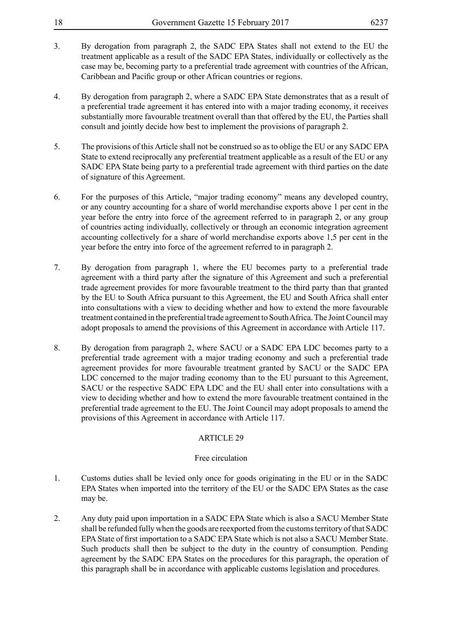| 18 | Government Gazette 15 February 2017 | 6237 |
|----|-------------------------------------|------|
|----|-------------------------------------|------|

- 3. By derogation from paragraph 2, the SADC EPA States shall not extend to the EU the treatment applicable as a result of the SADC EPA States, individually or collectively as the case may be, becoming party to a preferential trade agreement with countries of the African, Caribbean and Pacific group or other African countries or regions.
- 4. By derogation from paragraph 2, where a SADC EPA State demonstrates that as a result of a preferential trade agreement it has entered into with a major trading economy, it receives substantially more favourable treatment overall than that offered by the EU, the Parties shall consult and jointly decide how best to implement the provisions of paragraph 2.
- 5. The provisions of this Article shall not be construed so as to oblige the EU or any SADC EPA State to extend reciprocally any preferential treatment applicable as a result of the EU or any SADC EPA State being party to a preferential trade agreement with third parties on the date of signature of this Agreement.
- 6. For the purposes of this Article, "major trading economy" means any developed country, or any country accounting for a share of world merchandise exports above 1 per cent in the year before the entry into force of the agreement referred to in paragraph 2, or any group of countries acting individually, collectively or through an economic integration agreement accounting collectively for a share of world merchandise exports above 1,5 per cent in the year before the entry into force of the agreement referred to in paragraph 2.
- 7. By derogation from paragraph 1, where the EU becomes party to a preferential trade agreement with a third party after the signature of this Agreement and such a preferential trade agreement provides for more favourable treatment to the third party than that granted by the EU to South Africa pursuant to this Agreement, the EU and South Africa shall enter into consultations with a view to deciding whether and how to extend the more favourable treatment contained in the preferential trade agreement to South Africa. The Joint Council may adopt proposals to amend the provisions of this Agreement in accordance with Article 117.
- 8. By derogation from paragraph 2, where SACU or a SADC EPA LDC becomes party to a preferential trade agreement with a major trading economy and such a preferential trade agreement provides for more favourable treatment granted by SACU or the SADC EPA LDC concerned to the major trading economy than to the EU pursuant to this Agreement, SACU or the respective SADC EPA LDC and the EU shall enter into consultations with a view to deciding whether and how to extend the more favourable treatment contained in the preferential trade agreement to the EU. The Joint Council may adopt proposals to amend the provisions of this Agreement in accordance with Article 117.

#### Free circulation

- 1. Customs duties shall be levied only once for goods originating in the EU or in the SADC EPA States when imported into the territory of the EU or the SADC EPA States as the case may be.
- 2. Any duty paid upon importation in a SADC EPA State which is also a SACU Member State shall be refunded fully when the goods are reexported from the customs territory of that SADC EPA State of first importation to a SADC EPA State which is not also a SACU Member State. Such products shall then be subject to the duty in the country of consumption. Pending agreement by the SADC EPA States on the procedures for this paragraph, the operation of this paragraph shall be in accordance with applicable customs legislation and procedures.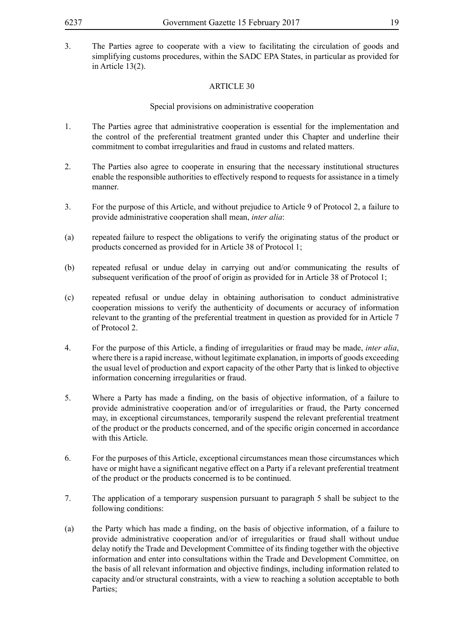3. The Parties agree to cooperate with a view to facilitating the circulation of goods and simplifying customs procedures, within the SADC EPA States, in particular as provided for in Article 13(2).

### ARTICLE 30

### Special provisions on administrative cooperation

- 1. The Parties agree that administrative cooperation is essential for the implementation and the control of the preferential treatment granted under this Chapter and underline their commitment to combat irregularities and fraud in customs and related matters.
- 2. The Parties also agree to cooperate in ensuring that the necessary institutional structures enable the responsible authorities to effectively respond to requests for assistance in a timely manner.
- 3. For the purpose of this Article, and without prejudice to Article 9 of Protocol 2, a failure to provide administrative cooperation shall mean, *inter alia*:
- (a) repeated failure to respect the obligations to verify the originating status of the product or products concerned as provided for in Article 38 of Protocol 1;
- (b) repeated refusal or undue delay in carrying out and/or communicating the results of subsequent verification of the proof of origin as provided for in Article 38 of Protocol 1;
- (c) repeated refusal or undue delay in obtaining authorisation to conduct administrative cooperation missions to verify the authenticity of documents or accuracy of information relevant to the granting of the preferential treatment in question as provided for in Article 7 of Protocol 2.
- 4. For the purpose of this Article, a finding of irregularities or fraud may be made, *inter alia*, where there is a rapid increase, without legitimate explanation, in imports of goods exceeding the usual level of production and export capacity of the other Party that is linked to objective information concerning irregularities or fraud.
- 5. Where a Party has made a finding, on the basis of objective information, of a failure to provide administrative cooperation and/or of irregularities or fraud, the Party concerned may, in exceptional circumstances, temporarily suspend the relevant preferential treatment of the product or the products concerned, and of the specific origin concerned in accordance with this Article.
- 6. For the purposes of this Article, exceptional circumstances mean those circumstances which have or might have a significant negative effect on a Party if a relevant preferential treatment of the product or the products concerned is to be continued.
- 7. The application of a temporary suspension pursuant to paragraph 5 shall be subject to the following conditions:
- (a) the Party which has made a finding, on the basis of objective information, of a failure to provide administrative cooperation and/or of irregularities or fraud shall without undue delay notify the Trade and Development Committee of its finding together with the objective information and enter into consultations within the Trade and Development Committee, on the basis of all relevant information and objective findings, including information related to capacity and/or structural constraints, with a view to reaching a solution acceptable to both Parties;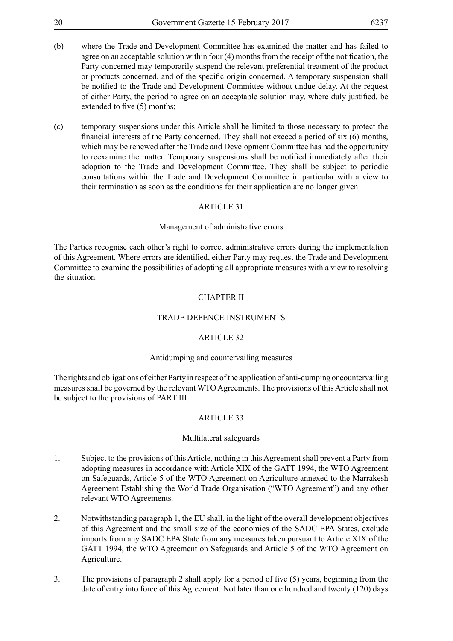- 20 Government Gazette 15 February 2017 6237 (b) where the Trade and Development Committee has examined the matter and has failed to agree on an acceptable solution within four (4) months from the receipt of the notification, the Party concerned may temporarily suspend the relevant preferential treatment of the product or products concerned, and of the specific origin concerned. A temporary suspension shall be notified to the Trade and Development Committee without undue delay. At the request of either Party, the period to agree on an acceptable solution may, where duly justified, be extended to five  $(5)$  months:
- (c) temporary suspensions under this Article shall be limited to those necessary to protect the financial interests of the Party concerned. They shall not exceed a period of six (6) months, which may be renewed after the Trade and Development Committee has had the opportunity to reexamine the matter. Temporary suspensions shall be notified immediately after their adoption to the Trade and Development Committee. They shall be subject to periodic consultations within the Trade and Development Committee in particular with a view to their termination as soon as the conditions for their application are no longer given.

#### Management of administrative errors

The Parties recognise each other's right to correct administrative errors during the implementation of this Agreement. Where errors are identified, either Party may request the Trade and Development Committee to examine the possibilities of adopting all appropriate measures with a view to resolving the situation.

#### CHAPTER II

#### TRADE DEFENCE INSTRUMENTS

#### ARTICLE 32

#### Antidumping and countervailing measures

The rights and obligations of either Party in respect of the application of anti-dumping or countervailing measures shall be governed by the relevant WTO Agreements. The provisions of this Article shall not be subject to the provisions of PART III.

#### ARTICLE 33

#### Multilateral safeguards

- 1. Subject to the provisions of this Article, nothing in this Agreement shall prevent a Party from adopting measures in accordance with Article XIX of the GATT 1994, the WTO Agreement on Safeguards, Article 5 of the WTO Agreement on Agriculture annexed to the Marrakesh Agreement Establishing the World Trade Organisation ("WTO Agreement") and any other relevant WTO Agreements.
- 2. Notwithstanding paragraph 1, the EU shall, in the light of the overall development objectives of this Agreement and the small size of the economies of the SADC EPA States, exclude imports from any SADC EPA State from any measures taken pursuant to Article XIX of the GATT 1994, the WTO Agreement on Safeguards and Article 5 of the WTO Agreement on Agriculture.
- 3. The provisions of paragraph 2 shall apply for a period of five (5) years, beginning from the date of entry into force of this Agreement. Not later than one hundred and twenty (120) days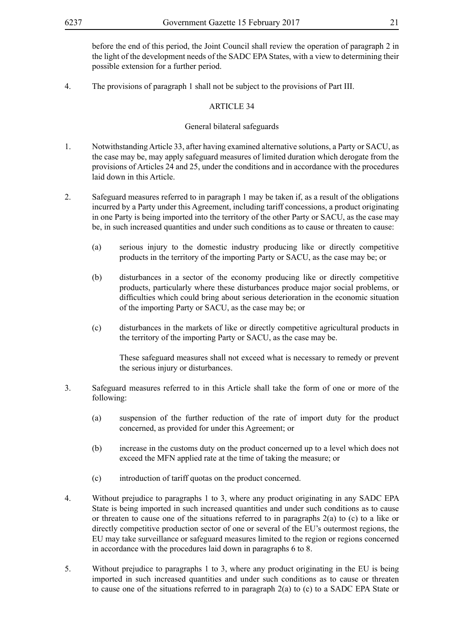before the end of this period, the Joint Council shall review the operation of paragraph 2 in the light of the development needs of the SADC EPA States, with a view to determining their possible extension for a further period.

4. The provisions of paragraph 1 shall not be subject to the provisions of Part III.

### ARTICLE 34

### General bilateral safeguards

- 1. Notwithstanding Article 33, after having examined alternative solutions, a Party or SACU, as the case may be, may apply safeguard measures of limited duration which derogate from the provisions of Articles 24 and 25, under the conditions and in accordance with the procedures laid down in this Article.
- 2. Safeguard measures referred to in paragraph 1 may be taken if, as a result of the obligations incurred by a Party under this Agreement, including tariff concessions, a product originating in one Party is being imported into the territory of the other Party or SACU, as the case may be, in such increased quantities and under such conditions as to cause or threaten to cause:
	- (a) serious injury to the domestic industry producing like or directly competitive products in the territory of the importing Party or SACU, as the case may be; or
	- (b) disturbances in a sector of the economy producing like or directly competitive products, particularly where these disturbances produce major social problems, or difficulties which could bring about serious deterioration in the economic situation of the importing Party or SACU, as the case may be; or
	- (c) disturbances in the markets of like or directly competitive agricultural products in the territory of the importing Party or SACU, as the case may be.

These safeguard measures shall not exceed what is necessary to remedy or prevent the serious injury or disturbances.

- 3. Safeguard measures referred to in this Article shall take the form of one or more of the following:
	- (a) suspension of the further reduction of the rate of import duty for the product concerned, as provided for under this Agreement; or
	- (b) increase in the customs duty on the product concerned up to a level which does not exceed the MFN applied rate at the time of taking the measure; or
	- (c) introduction of tariff quotas on the product concerned.
- 4. Without prejudice to paragraphs 1 to 3, where any product originating in any SADC EPA State is being imported in such increased quantities and under such conditions as to cause or threaten to cause one of the situations referred to in paragraphs  $2(a)$  to (c) to a like or directly competitive production sector of one or several of the EU's outermost regions, the EU may take surveillance or safeguard measures limited to the region or regions concerned in accordance with the procedures laid down in paragraphs 6 to 8.
- 5. Without prejudice to paragraphs 1 to 3, where any product originating in the EU is being imported in such increased quantities and under such conditions as to cause or threaten to cause one of the situations referred to in paragraph 2(a) to (c) to a SADC EPA State or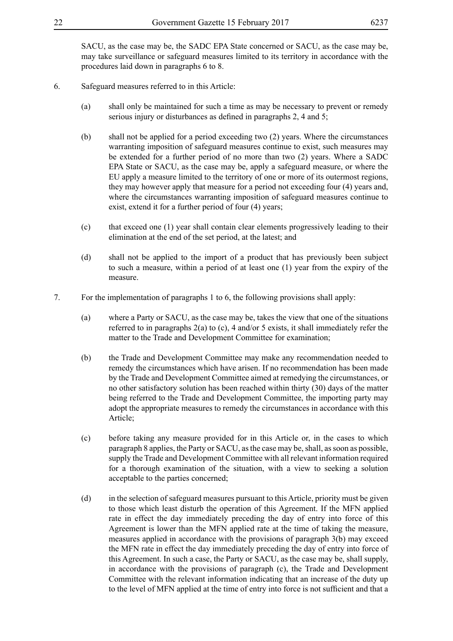SACU, as the case may be, the SADC EPA State concerned or SACU, as the case may be, may take surveillance or safeguard measures limited to its territory in accordance with the procedures laid down in paragraphs 6 to 8.

- 6. Safeguard measures referred to in this Article:
	- (a) shall only be maintained for such a time as may be necessary to prevent or remedy serious injury or disturbances as defined in paragraphs 2, 4 and 5;
	- (b) shall not be applied for a period exceeding two (2) years. Where the circumstances warranting imposition of safeguard measures continue to exist, such measures may be extended for a further period of no more than two (2) years. Where a SADC EPA State or SACU, as the case may be, apply a safeguard measure, or where the EU apply a measure limited to the territory of one or more of its outermost regions, they may however apply that measure for a period not exceeding four (4) years and, where the circumstances warranting imposition of safeguard measures continue to exist, extend it for a further period of four (4) years;
	- (c) that exceed one (1) year shall contain clear elements progressively leading to their elimination at the end of the set period, at the latest; and
	- (d) shall not be applied to the import of a product that has previously been subject to such a measure, within a period of at least one (1) year from the expiry of the measure.
- 7. For the implementation of paragraphs 1 to 6, the following provisions shall apply:
	- (a) where a Party or SACU, as the case may be, takes the view that one of the situations referred to in paragraphs 2(a) to (c), 4 and/or 5 exists, it shall immediately refer the matter to the Trade and Development Committee for examination;
	- (b) the Trade and Development Committee may make any recommendation needed to remedy the circumstances which have arisen. If no recommendation has been made by the Trade and Development Committee aimed at remedying the circumstances, or no other satisfactory solution has been reached within thirty (30) days of the matter being referred to the Trade and Development Committee, the importing party may adopt the appropriate measures to remedy the circumstances in accordance with this Article;
	- (c) before taking any measure provided for in this Article or, in the cases to which paragraph 8 applies, the Party or SACU, as the case may be, shall, as soon as possible, supply the Trade and Development Committee with all relevant information required for a thorough examination of the situation, with a view to seeking a solution acceptable to the parties concerned;
	- (d) in the selection of safeguard measures pursuant to this Article, priority must be given to those which least disturb the operation of this Agreement. If the MFN applied rate in effect the day immediately preceding the day of entry into force of this Agreement is lower than the MFN applied rate at the time of taking the measure, measures applied in accordance with the provisions of paragraph 3(b) may exceed the MFN rate in effect the day immediately preceding the day of entry into force of this Agreement. In such a case, the Party or SACU, as the case may be, shall supply, in accordance with the provisions of paragraph (c), the Trade and Development Committee with the relevant information indicating that an increase of the duty up to the level of MFN applied at the time of entry into force is not sufficient and that a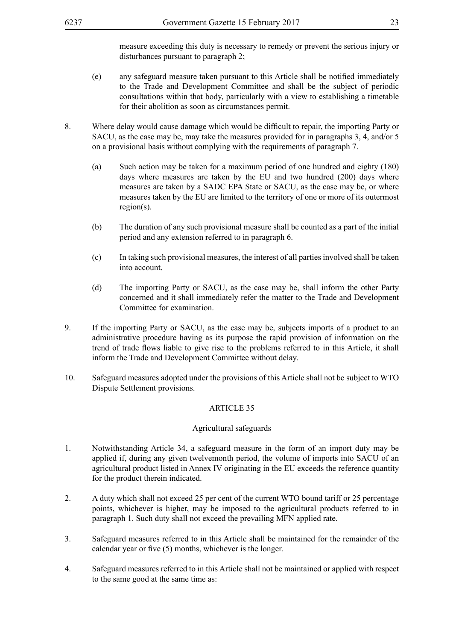measure exceeding this duty is necessary to remedy or prevent the serious injury or disturbances pursuant to paragraph 2;

- (e) any safeguard measure taken pursuant to this Article shall be notified immediately to the Trade and Development Committee and shall be the subject of periodic consultations within that body, particularly with a view to establishing a timetable for their abolition as soon as circumstances permit.
- 8. Where delay would cause damage which would be difficult to repair, the importing Party or SACU, as the case may be, may take the measures provided for in paragraphs 3, 4, and/or 5 on a provisional basis without complying with the requirements of paragraph 7.
	- (a) Such action may be taken for a maximum period of one hundred and eighty (180) days where measures are taken by the EU and two hundred (200) days where measures are taken by a SADC EPA State or SACU, as the case may be, or where measures taken by the EU are limited to the territory of one or more of its outermost region(s).
	- (b) The duration of any such provisional measure shall be counted as a part of the initial period and any extension referred to in paragraph 6.
	- (c) In taking such provisional measures, the interest of all parties involved shall be taken into account.
	- (d) The importing Party or SACU, as the case may be, shall inform the other Party concerned and it shall immediately refer the matter to the Trade and Development Committee for examination.
- 9. If the importing Party or SACU, as the case may be, subjects imports of a product to an administrative procedure having as its purpose the rapid provision of information on the trend of trade flows liable to give rise to the problems referred to in this Article, it shall inform the Trade and Development Committee without delay.
- 10. Safeguard measures adopted under the provisions of this Article shall not be subject to WTO Dispute Settlement provisions.

### ARTICLE 35

#### Agricultural safeguards

- 1. Notwithstanding Article 34, a safeguard measure in the form of an import duty may be applied if, during any given twelvemonth period, the volume of imports into SACU of an agricultural product listed in Annex IV originating in the EU exceeds the reference quantity for the product therein indicated.
- 2. A duty which shall not exceed 25 per cent of the current WTO bound tariff or 25 percentage points, whichever is higher, may be imposed to the agricultural products referred to in paragraph 1. Such duty shall not exceed the prevailing MFN applied rate.
- 3. Safeguard measures referred to in this Article shall be maintained for the remainder of the calendar year or five (5) months, whichever is the longer.
- 4. Safeguard measures referred to in this Article shall not be maintained or applied with respect to the same good at the same time as: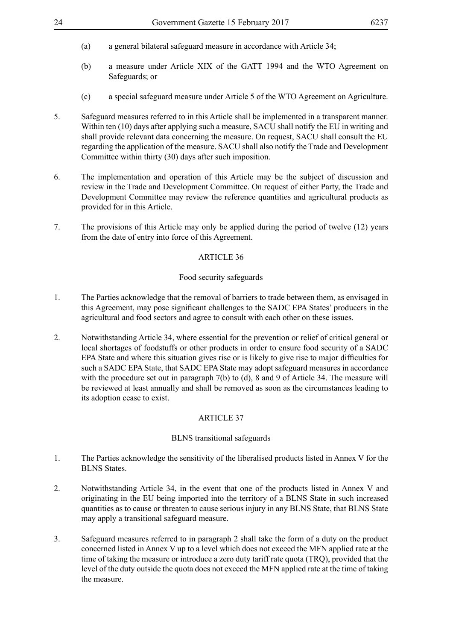- (a) a general bilateral safeguard measure in accordance with Article 34;
- (b) a measure under Article XIX of the GATT 1994 and the WTO Agreement on Safeguards; or
- (c) a special safeguard measure under Article 5 of the WTO Agreement on Agriculture.
- 5. Safeguard measures referred to in this Article shall be implemented in a transparent manner. Within ten (10) days after applying such a measure, SACU shall notify the EU in writing and shall provide relevant data concerning the measure. On request, SACU shall consult the EU regarding the application of the measure. SACU shall also notify the Trade and Development Committee within thirty (30) days after such imposition.
- 6. The implementation and operation of this Article may be the subject of discussion and review in the Trade and Development Committee. On request of either Party, the Trade and Development Committee may review the reference quantities and agricultural products as provided for in this Article.
- 7. The provisions of this Article may only be applied during the period of twelve (12) years from the date of entry into force of this Agreement.

#### Food security safeguards

- 1. The Parties acknowledge that the removal of barriers to trade between them, as envisaged in this Agreement, may pose significant challenges to the SADC EPA States' producers in the agricultural and food sectors and agree to consult with each other on these issues.
- 2. Notwithstanding Article 34, where essential for the prevention or relief of critical general or local shortages of foodstuffs or other products in order to ensure food security of a SADC EPA State and where this situation gives rise or is likely to give rise to major difficulties for such a SADC EPA State, that SADC EPA State may adopt safeguard measures in accordance with the procedure set out in paragraph 7(b) to (d), 8 and 9 of Article 34. The measure will be reviewed at least annually and shall be removed as soon as the circumstances leading to its adoption cease to exist.

### ARTICLE 37

#### BLNS transitional safeguards

- 1. The Parties acknowledge the sensitivity of the liberalised products listed in Annex V for the BLNS States.
- 2. Notwithstanding Article 34, in the event that one of the products listed in Annex V and originating in the EU being imported into the territory of a BLNS State in such increased quantities as to cause or threaten to cause serious injury in any BLNS State, that BLNS State may apply a transitional safeguard measure.
- 3. Safeguard measures referred to in paragraph 2 shall take the form of a duty on the product concerned listed in Annex V up to a level which does not exceed the MFN applied rate at the time of taking the measure or introduce a zero duty tariff rate quota (TRQ), provided that the level of the duty outside the quota does not exceed the MFN applied rate at the time of taking the measure.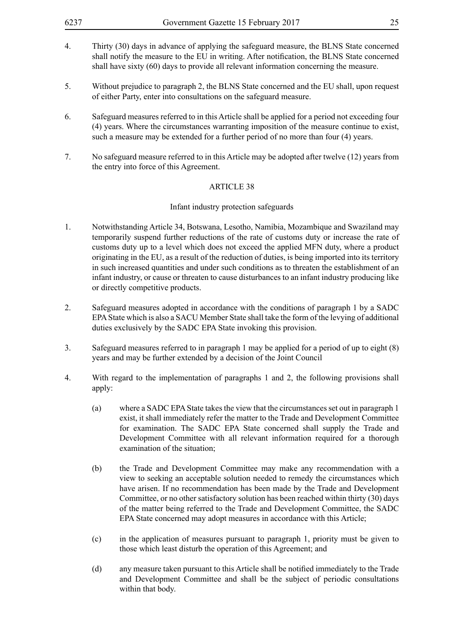- 4. Thirty (30) days in advance of applying the safeguard measure, the BLNS State concerned shall notify the measure to the EU in writing. After notification, the BLNS State concerned shall have sixty (60) days to provide all relevant information concerning the measure.
- 5. Without prejudice to paragraph 2, the BLNS State concerned and the EU shall, upon request of either Party, enter into consultations on the safeguard measure.
- 6. Safeguard measures referred to in this Article shall be applied for a period not exceeding four (4) years. Where the circumstances warranting imposition of the measure continue to exist, such a measure may be extended for a further period of no more than four (4) years.
- 7. No safeguard measure referred to in this Article may be adopted after twelve (12) years from the entry into force of this Agreement.

#### Infant industry protection safeguards

- 1. Notwithstanding Article 34, Botswana, Lesotho, Namibia, Mozambique and Swaziland may temporarily suspend further reductions of the rate of customs duty or increase the rate of customs duty up to a level which does not exceed the applied MFN duty, where a product originating in the EU, as a result of the reduction of duties, is being imported into its territory in such increased quantities and under such conditions as to threaten the establishment of an infant industry, or cause or threaten to cause disturbances to an infant industry producing like or directly competitive products.
- 2. Safeguard measures adopted in accordance with the conditions of paragraph 1 by a SADC EPA State which is also a SACU Member State shall take the form of the levying of additional duties exclusively by the SADC EPA State invoking this provision.
- 3. Safeguard measures referred to in paragraph 1 may be applied for a period of up to eight (8) years and may be further extended by a decision of the Joint Council
- 4. With regard to the implementation of paragraphs 1 and 2, the following provisions shall apply:
	- (a) where a SADC EPA State takes the view that the circumstances set out in paragraph 1 exist, it shall immediately refer the matter to the Trade and Development Committee for examination. The SADC EPA State concerned shall supply the Trade and Development Committee with all relevant information required for a thorough examination of the situation;
	- (b) the Trade and Development Committee may make any recommendation with a view to seeking an acceptable solution needed to remedy the circumstances which have arisen. If no recommendation has been made by the Trade and Development Committee, or no other satisfactory solution has been reached within thirty (30) days of the matter being referred to the Trade and Development Committee, the SADC EPA State concerned may adopt measures in accordance with this Article;
	- (c) in the application of measures pursuant to paragraph 1, priority must be given to those which least disturb the operation of this Agreement; and
	- (d) any measure taken pursuant to this Article shall be notified immediately to the Trade and Development Committee and shall be the subject of periodic consultations within that body.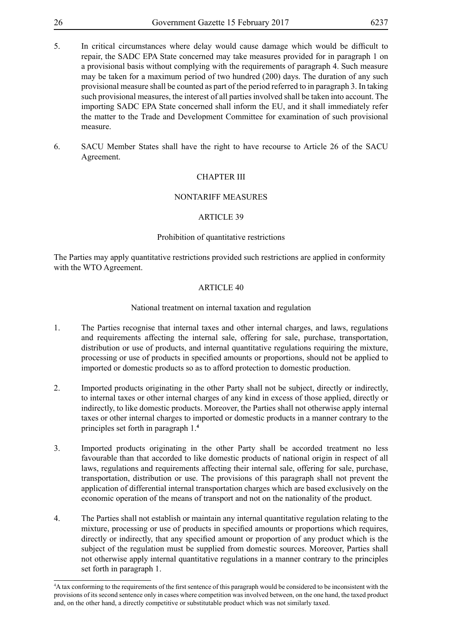- 5. In critical circumstances where delay would cause damage which would be difficult to repair, the SADC EPA State concerned may take measures provided for in paragraph 1 on a provisional basis without complying with the requirements of paragraph 4. Such measure may be taken for a maximum period of two hundred (200) days. The duration of any such provisional measure shall be counted as part of the period referred to in paragraph 3. In taking such provisional measures, the interest of all parties involved shall be taken into account. The importing SADC EPA State concerned shall inform the EU, and it shall immediately refer the matter to the Trade and Development Committee for examination of such provisional measure.
- 6. SACU Member States shall have the right to have recourse to Article 26 of the SACU Agreement.

### CHAPTER III

### NONTARIFF MEASURES

### ARTICLE 39

### Prohibition of quantitative restrictions

The Parties may apply quantitative restrictions provided such restrictions are applied in conformity with the WTO Agreement.

### ARTICLE 40

### National treatment on internal taxation and regulation

- 1. The Parties recognise that internal taxes and other internal charges, and laws, regulations and requirements affecting the internal sale, offering for sale, purchase, transportation, distribution or use of products, and internal quantitative regulations requiring the mixture, processing or use of products in specified amounts or proportions, should not be applied to imported or domestic products so as to afford protection to domestic production.
- 2. Imported products originating in the other Party shall not be subject, directly or indirectly, to internal taxes or other internal charges of any kind in excess of those applied, directly or indirectly, to like domestic products. Moreover, the Parties shall not otherwise apply internal taxes or other internal charges to imported or domestic products in a manner contrary to the principles set forth in paragraph 1.**<sup>4</sup>**
- 3. Imported products originating in the other Party shall be accorded treatment no less favourable than that accorded to like domestic products of national origin in respect of all laws, regulations and requirements affecting their internal sale, offering for sale, purchase, transportation, distribution or use. The provisions of this paragraph shall not prevent the application of differential internal transportation charges which are based exclusively on the economic operation of the means of transport and not on the nationality of the product.
- 4. The Parties shall not establish or maintain any internal quantitative regulation relating to the mixture, processing or use of products in specified amounts or proportions which requires, directly or indirectly, that any specified amount or proportion of any product which is the subject of the regulation must be supplied from domestic sources. Moreover, Parties shall not otherwise apply internal quantitative regulations in a manner contrary to the principles set forth in paragraph 1.

<sup>4</sup> A tax conforming to the requirements of the first sentence of this paragraph would be considered to be inconsistent with the provisions of its second sentence only in cases where competition was involved between, on the one hand, the taxed product and, on the other hand, a directly competitive or substitutable product which was not similarly taxed.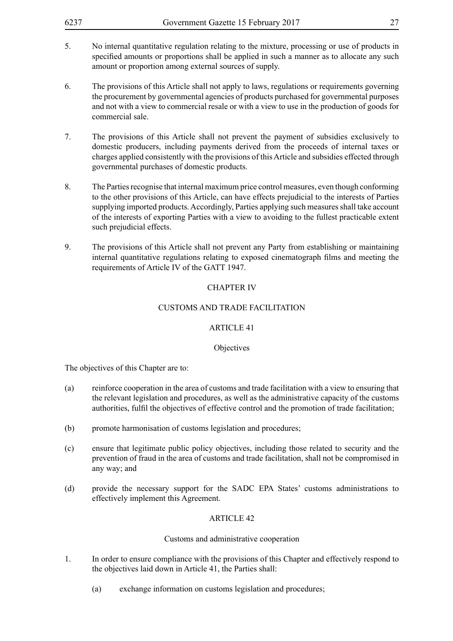| 6237 | Government Gazette 15 February 2017 |  |
|------|-------------------------------------|--|
|      |                                     |  |

- 5. No internal quantitative regulation relating to the mixture, processing or use of products in specified amounts or proportions shall be applied in such a manner as to allocate any such amount or proportion among external sources of supply.
- 6. The provisions of this Article shall not apply to laws, regulations or requirements governing the procurement by governmental agencies of products purchased for governmental purposes and not with a view to commercial resale or with a view to use in the production of goods for commercial sale.
- 7. The provisions of this Article shall not prevent the payment of subsidies exclusively to domestic producers, including payments derived from the proceeds of internal taxes or charges applied consistently with the provisions of this Article and subsidies effected through governmental purchases of domestic products.
- 8. The Parties recognise that internal maximum price control measures, even though conforming to the other provisions of this Article, can have effects prejudicial to the interests of Parties supplying imported products. Accordingly, Parties applying such measures shall take account of the interests of exporting Parties with a view to avoiding to the fullest practicable extent such prejudicial effects.
- 9. The provisions of this Article shall not prevent any Party from establishing or maintaining internal quantitative regulations relating to exposed cinematograph films and meeting the requirements of Article IV of the GATT 1947.

### CHAPTER IV

### CUSTOMS AND TRADE FACILITATION

### ARTICLE 41

### **Objectives**

The objectives of this Chapter are to:

- (a) reinforce cooperation in the area of customs and trade facilitation with a view to ensuring that the relevant legislation and procedures, as well as the administrative capacity of the customs authorities, fulfil the objectives of effective control and the promotion of trade facilitation;
- (b) promote harmonisation of customs legislation and procedures;
- (c) ensure that legitimate public policy objectives, including those related to security and the prevention of fraud in the area of customs and trade facilitation, shall not be compromised in any way; and
- (d) provide the necessary support for the SADC EPA States' customs administrations to effectively implement this Agreement.

### ARTICLE 42

### Customs and administrative cooperation

- 1. In order to ensure compliance with the provisions of this Chapter and effectively respond to the objectives laid down in Article 41, the Parties shall:
	- (a) exchange information on customs legislation and procedures;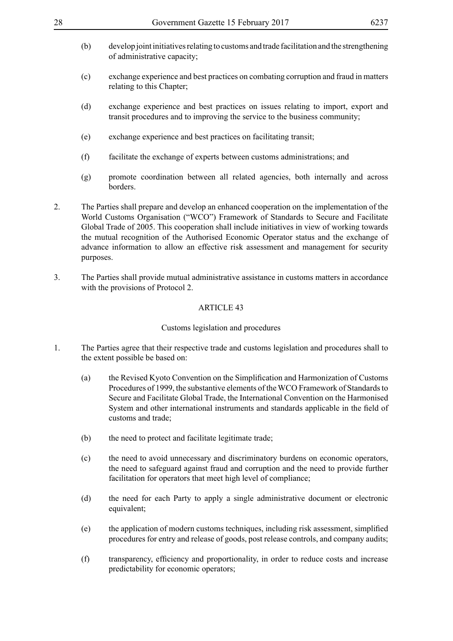- (b) develop joint initiatives relating to customs and trade facilitation and the strengthening of administrative capacity;
- (c) exchange experience and best practices on combating corruption and fraud in matters relating to this Chapter;
- (d) exchange experience and best practices on issues relating to import, export and transit procedures and to improving the service to the business community;
- (e) exchange experience and best practices on facilitating transit;
- (f) facilitate the exchange of experts between customs administrations; and
- (g) promote coordination between all related agencies, both internally and across **borders**
- 2. The Parties shall prepare and develop an enhanced cooperation on the implementation of the World Customs Organisation ("WCO") Framework of Standards to Secure and Facilitate Global Trade of 2005. This cooperation shall include initiatives in view of working towards the mutual recognition of the Authorised Economic Operator status and the exchange of advance information to allow an effective risk assessment and management for security purposes.
- 3. The Parties shall provide mutual administrative assistance in customs matters in accordance with the provisions of Protocol 2.

#### Customs legislation and procedures

- 1. The Parties agree that their respective trade and customs legislation and procedures shall to the extent possible be based on:
	- (a) the Revised Kyoto Convention on the Simplification and Harmonization of Customs Procedures of 1999, the substantive elements of the WCO Framework of Standards to Secure and Facilitate Global Trade, the International Convention on the Harmonised System and other international instruments and standards applicable in the field of customs and trade;
	- (b) the need to protect and facilitate legitimate trade;
	- (c) the need to avoid unnecessary and discriminatory burdens on economic operators, the need to safeguard against fraud and corruption and the need to provide further facilitation for operators that meet high level of compliance;
	- (d) the need for each Party to apply a single administrative document or electronic equivalent;
	- (e) the application of modern customs techniques, including risk assessment, simplified procedures for entry and release of goods, post release controls, and company audits;
	- (f) transparency, efficiency and proportionality, in order to reduce costs and increase predictability for economic operators;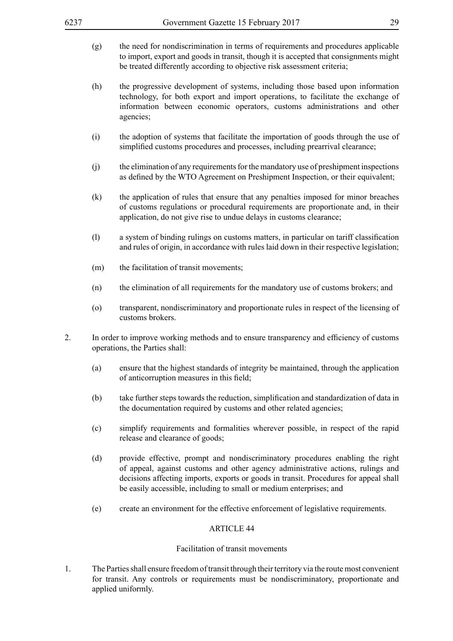- (g) the need for nondiscrimination in terms of requirements and procedures applicable to import, export and goods in transit, though it is accepted that consignments might be treated differently according to objective risk assessment criteria;
- (h) the progressive development of systems, including those based upon information technology, for both export and import operations, to facilitate the exchange of information between economic operators, customs administrations and other agencies;
- (i) the adoption of systems that facilitate the importation of goods through the use of simplified customs procedures and processes, including prearrival clearance;
- (j) the elimination of any requirements for the mandatory use of preshipment inspections as defined by the WTO Agreement on Preshipment Inspection, or their equivalent;
- (k) the application of rules that ensure that any penalties imposed for minor breaches of customs regulations or procedural requirements are proportionate and, in their application, do not give rise to undue delays in customs clearance;
- (l) a system of binding rulings on customs matters, in particular on tariff classification and rules of origin, in accordance with rules laid down in their respective legislation;
- (m) the facilitation of transit movements;
- (n) the elimination of all requirements for the mandatory use of customs brokers; and
- (o) transparent, nondiscriminatory and proportionate rules in respect of the licensing of customs brokers.
- 2. In order to improve working methods and to ensure transparency and efficiency of customs operations, the Parties shall:
	- (a) ensure that the highest standards of integrity be maintained, through the application of anticorruption measures in this field;
	- (b) take further steps towards the reduction, simplification and standardization of data in the documentation required by customs and other related agencies;
	- (c) simplify requirements and formalities wherever possible, in respect of the rapid release and clearance of goods;
	- (d) provide effective, prompt and nondiscriminatory procedures enabling the right of appeal, against customs and other agency administrative actions, rulings and decisions affecting imports, exports or goods in transit. Procedures for appeal shall be easily accessible, including to small or medium enterprises; and
	- (e) create an environment for the effective enforcement of legislative requirements.

### Facilitation of transit movements

1. The Parties shall ensure freedom of transit through their territory via the route most convenient for transit. Any controls or requirements must be nondiscriminatory, proportionate and applied uniformly.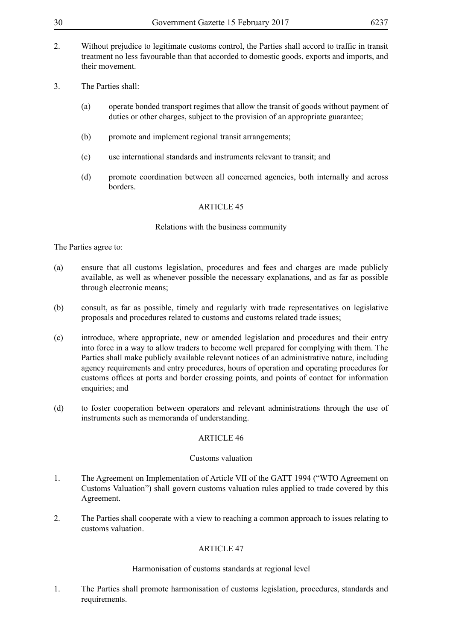- 2. Without prejudice to legitimate customs control, the Parties shall accord to traffic in transit treatment no less favourable than that accorded to domestic goods, exports and imports, and their movement.
- 3. The Parties shall:
	- (a) operate bonded transport regimes that allow the transit of goods without payment of duties or other charges, subject to the provision of an appropriate guarantee;
	- (b) promote and implement regional transit arrangements;
	- (c) use international standards and instruments relevant to transit; and
	- (d) promote coordination between all concerned agencies, both internally and across borders.

### Relations with the business community

### The Parties agree to:

- (a) ensure that all customs legislation, procedures and fees and charges are made publicly available, as well as whenever possible the necessary explanations, and as far as possible through electronic means;
- (b) consult, as far as possible, timely and regularly with trade representatives on legislative proposals and procedures related to customs and customs related trade issues;
- (c) introduce, where appropriate, new or amended legislation and procedures and their entry into force in a way to allow traders to become well prepared for complying with them. The Parties shall make publicly available relevant notices of an administrative nature, including agency requirements and entry procedures, hours of operation and operating procedures for customs offices at ports and border crossing points, and points of contact for information enquiries; and
- (d) to foster cooperation between operators and relevant administrations through the use of instruments such as memoranda of understanding.

#### ARTICLE 46

#### Customs valuation

- 1. The Agreement on Implementation of Article VII of the GATT 1994 ("WTO Agreement on Customs Valuation") shall govern customs valuation rules applied to trade covered by this Agreement.
- 2. The Parties shall cooperate with a view to reaching a common approach to issues relating to customs valuation.

### ARTICLE 47

#### Harmonisation of customs standards at regional level

1. The Parties shall promote harmonisation of customs legislation, procedures, standards and requirements.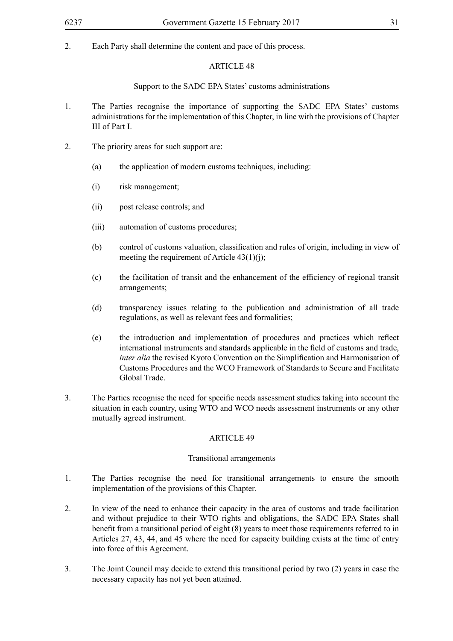2. Each Party shall determine the content and pace of this process.

### ARTICLE 48

### Support to the SADC EPA States' customs administrations

- 1. The Parties recognise the importance of supporting the SADC EPA States' customs administrations for the implementation of this Chapter, in line with the provisions of Chapter III of Part I.
- 2. The priority areas for such support are:
	- (a) the application of modern customs techniques, including:
	- (i) risk management;
	- (ii) post release controls; and
	- (iii) automation of customs procedures;
	- (b) control of customs valuation, classification and rules of origin, including in view of meeting the requirement of Article  $43(1)(i)$ ;
	- (c) the facilitation of transit and the enhancement of the efficiency of regional transit arrangements;
	- (d) transparency issues relating to the publication and administration of all trade regulations, as well as relevant fees and formalities;
	- (e) the introduction and implementation of procedures and practices which reflect international instruments and standards applicable in the field of customs and trade, *inter alia* the revised Kyoto Convention on the Simplification and Harmonisation of Customs Procedures and the WCO Framework of Standards to Secure and Facilitate Global Trade.
- 3. The Parties recognise the need for specific needs assessment studies taking into account the situation in each country, using WTO and WCO needs assessment instruments or any other mutually agreed instrument.

### ARTICLE 49

### Transitional arrangements

- 1. The Parties recognise the need for transitional arrangements to ensure the smooth implementation of the provisions of this Chapter.
- 2. In view of the need to enhance their capacity in the area of customs and trade facilitation and without prejudice to their WTO rights and obligations, the SADC EPA States shall benefit from a transitional period of eight (8) years to meet those requirements referred to in Articles 27, 43, 44, and 45 where the need for capacity building exists at the time of entry into force of this Agreement.
- 3. The Joint Council may decide to extend this transitional period by two (2) years in case the necessary capacity has not yet been attained.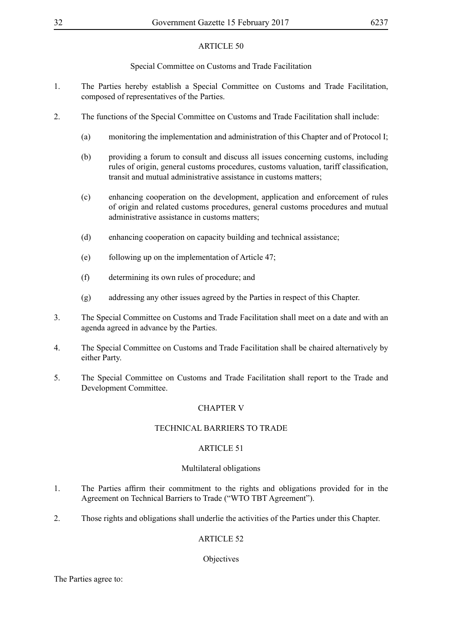Special Committee on Customs and Trade Facilitation

- 1. The Parties hereby establish a Special Committee on Customs and Trade Facilitation, composed of representatives of the Parties.
- 2. The functions of the Special Committee on Customs and Trade Facilitation shall include:
	- (a) monitoring the implementation and administration of this Chapter and of Protocol I;
	- (b) providing a forum to consult and discuss all issues concerning customs, including rules of origin, general customs procedures, customs valuation, tariff classification, transit and mutual administrative assistance in customs matters;
	- (c) enhancing cooperation on the development, application and enforcement of rules of origin and related customs procedures, general customs procedures and mutual administrative assistance in customs matters;
	- (d) enhancing cooperation on capacity building and technical assistance;
	- (e) following up on the implementation of Article 47;
	- (f) determining its own rules of procedure; and
	- (g) addressing any other issues agreed by the Parties in respect of this Chapter.
- 3. The Special Committee on Customs and Trade Facilitation shall meet on a date and with an agenda agreed in advance by the Parties.
- 4. The Special Committee on Customs and Trade Facilitation shall be chaired alternatively by either Party.
- 5. The Special Committee on Customs and Trade Facilitation shall report to the Trade and Development Committee.

### CHAPTER V

### TECHNICAL BARRIERS TO TRADE

### ARTICLE 51

#### Multilateral obligations

- 1. The Parties affirm their commitment to the rights and obligations provided for in the Agreement on Technical Barriers to Trade ("WTO TBT Agreement").
- 2. Those rights and obligations shall underlie the activities of the Parties under this Chapter.

### ARTICLE 52

#### **Objectives**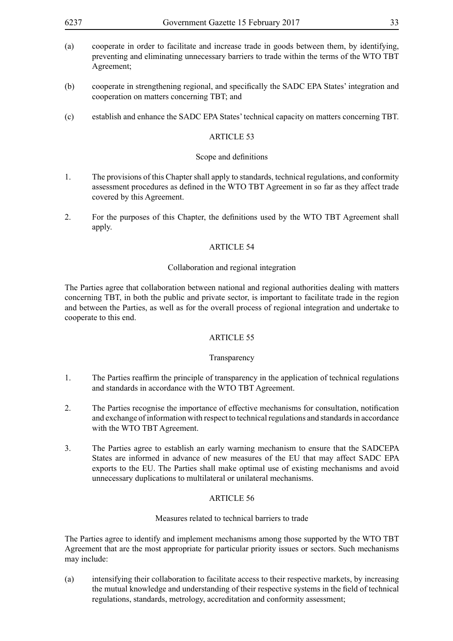- (a) cooperate in order to facilitate and increase trade in goods between them, by identifying, preventing and eliminating unnecessary barriers to trade within the terms of the WTO TBT Agreement;
- (b) cooperate in strengthening regional, and specifically the SADC EPA States' integration and cooperation on matters concerning TBT; and
- (c) establish and enhance the SADC EPA States' technical capacity on matters concerning TBT.

#### Scope and definitions

- 1. The provisions of this Chapter shall apply to standards, technical regulations, and conformity assessment procedures as defined in the WTO TBT Agreement in so far as they affect trade covered by this Agreement.
- 2. For the purposes of this Chapter, the definitions used by the WTO TBT Agreement shall apply.

### ARTICLE 54

#### Collaboration and regional integration

The Parties agree that collaboration between national and regional authorities dealing with matters concerning TBT, in both the public and private sector, is important to facilitate trade in the region and between the Parties, as well as for the overall process of regional integration and undertake to cooperate to this end.

#### ARTICLE 55

#### Transparency

- 1. The Parties reaffirm the principle of transparency in the application of technical regulations and standards in accordance with the WTO TBT Agreement.
- 2. The Parties recognise the importance of effective mechanisms for consultation, notification and exchange of information with respect to technical regulations and standards in accordance with the WTO TBT Agreement.
- 3. The Parties agree to establish an early warning mechanism to ensure that the SADCEPA States are informed in advance of new measures of the EU that may affect SADC EPA exports to the EU. The Parties shall make optimal use of existing mechanisms and avoid unnecessary duplications to multilateral or unilateral mechanisms.

### ARTICLE 56

#### Measures related to technical barriers to trade

The Parties agree to identify and implement mechanisms among those supported by the WTO TBT Agreement that are the most appropriate for particular priority issues or sectors. Such mechanisms may include:

(a) intensifying their collaboration to facilitate access to their respective markets, by increasing the mutual knowledge and understanding of their respective systems in the field of technical regulations, standards, metrology, accreditation and conformity assessment;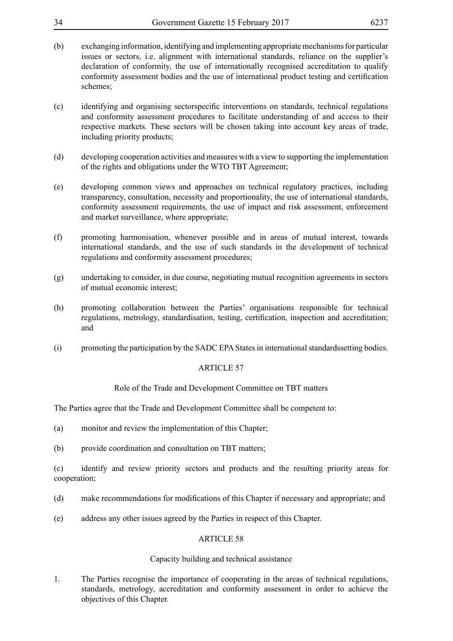| (b)                 | exchanging information, identifying and implementing appropriate mechanisms for particular<br>issues or sectors, i.e. alignment with international standards, reliance on the supplier's<br>declaration of conformity, the use of internationally recognised accreditation to qualify<br>conformity assessment bodies and the use of international product testing and certification<br>schemes; |
|---------------------|--------------------------------------------------------------------------------------------------------------------------------------------------------------------------------------------------------------------------------------------------------------------------------------------------------------------------------------------------------------------------------------------------|
| (c)                 | identifying and organising sectorspecific interventions on standards, technical regulations<br>and conformity assessment procedures to facilitate understanding of and access to their<br>respective markets. These sectors will be chosen taking into account key areas of trade,<br>including priority products;                                                                               |
| (d)                 | developing cooperation activities and measures with a view to supporting the implementation<br>of the rights and obligations under the WTO TBT Agreement;                                                                                                                                                                                                                                        |
| (e)                 | developing common views and approaches on technical regulatory practices, including<br>transparency, consultation, necessity and proportionality, the use of international standards,<br>conformity assessment requirements, the use of impact and risk assessment, enforcement<br>and market surveillance, where appropriate;                                                                   |
| (f)                 | promoting harmonisation, whenever possible and in areas of mutual interest, towards<br>international standards, and the use of such standards in the development of technical<br>regulations and conformity assessment procedures;                                                                                                                                                               |
| (g)                 | undertaking to consider, in due course, negotiating mutual recognition agreements in sectors<br>of mutual economic interest;                                                                                                                                                                                                                                                                     |
| (h)                 | promoting collaboration between the Parties' organisations responsible for technical<br>regulations, metrology, standardisation, testing, certification, inspection and accreditation;<br>and                                                                                                                                                                                                    |
| (i)                 | promoting the participation by the SADC EPA States in international standardssetting bodies.                                                                                                                                                                                                                                                                                                     |
|                     | <b>ARTICLE 57</b>                                                                                                                                                                                                                                                                                                                                                                                |
|                     | Role of the Trade and Development Committee on TBT matters                                                                                                                                                                                                                                                                                                                                       |
|                     | The Parties agree that the Trade and Development Committee shall be competent to:                                                                                                                                                                                                                                                                                                                |
| (a)                 | monitor and review the implementation of this Chapter;                                                                                                                                                                                                                                                                                                                                           |
| (b)                 | provide coordination and consultation on TBT matters;                                                                                                                                                                                                                                                                                                                                            |
| (c)<br>cooperation; | identify and review priority sectors and products and the resulting priority areas for                                                                                                                                                                                                                                                                                                           |
| (d)                 | make recommendations for modifications of this Chapter if necessary and appropriate; and                                                                                                                                                                                                                                                                                                         |
| (e)                 | address any other issues agreed by the Parties in respect of this Chapter.                                                                                                                                                                                                                                                                                                                       |
|                     | <b>ARTICLE 58</b>                                                                                                                                                                                                                                                                                                                                                                                |
|                     | Capacity building and technical assistance                                                                                                                                                                                                                                                                                                                                                       |

34 Government Gazette 15 February 2017 6237

1. The Parties recognise the importance of cooperating in the areas of technical regulations, standards, metrology, accreditation and conformity assessment in order to achieve the objectives of this Chapter.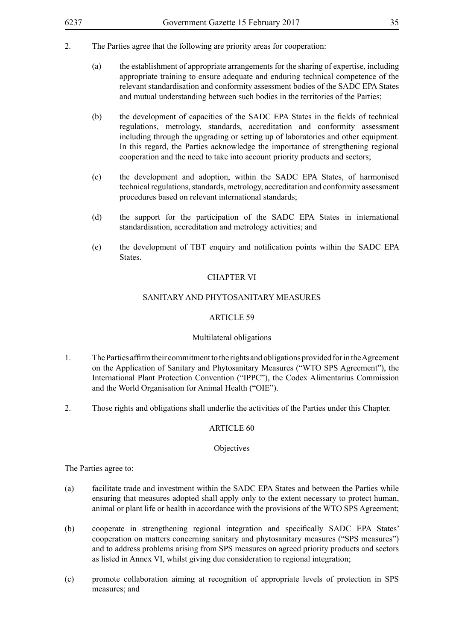### 2. The Parties agree that the following are priority areas for cooperation:

- (a) the establishment of appropriate arrangements for the sharing of expertise, including appropriate training to ensure adequate and enduring technical competence of the relevant standardisation and conformity assessment bodies of the SADC EPA States and mutual understanding between such bodies in the territories of the Parties;
- (b) the development of capacities of the SADC EPA States in the fields of technical regulations, metrology, standards, accreditation and conformity assessment including through the upgrading or setting up of laboratories and other equipment. In this regard, the Parties acknowledge the importance of strengthening regional cooperation and the need to take into account priority products and sectors;
- (c) the development and adoption, within the SADC EPA States, of harmonised technical regulations, standards, metrology, accreditation and conformity assessment procedures based on relevant international standards;
- (d) the support for the participation of the SADC EPA States in international standardisation, accreditation and metrology activities; and
- (e) the development of TBT enquiry and notification points within the SADC EPA States.

#### CHAPTER VI

### SANITARY AND PHYTOSANITARY MEASURES

#### ARTICLE 59

#### Multilateral obligations

- 1. The Parties affirm their commitment to the rights and obligations provided for in the Agreement on the Application of Sanitary and Phytosanitary Measures ("WTO SPS Agreement"), the International Plant Protection Convention ("IPPC"), the Codex Alimentarius Commission and the World Organisation for Animal Health ("OIE").
- 2. Those rights and obligations shall underlie the activities of the Parties under this Chapter.

### ARTICLE 60

#### **Objectives**

The Parties agree to:

- (a) facilitate trade and investment within the SADC EPA States and between the Parties while ensuring that measures adopted shall apply only to the extent necessary to protect human, animal or plant life or health in accordance with the provisions of the WTO SPS Agreement;
- (b) cooperate in strengthening regional integration and specifically SADC EPA States' cooperation on matters concerning sanitary and phytosanitary measures ("SPS measures") and to address problems arising from SPS measures on agreed priority products and sectors as listed in Annex VI, whilst giving due consideration to regional integration;
- (c) promote collaboration aiming at recognition of appropriate levels of protection in SPS measures; and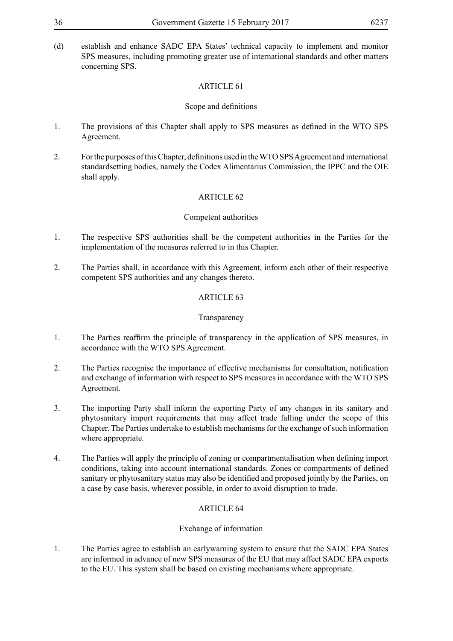(d) establish and enhance SADC EPA States' technical capacity to implement and monitor SPS measures, including promoting greater use of international standards and other matters concerning SPS.

### ARTICLE 61

### Scope and definitions

- 1. The provisions of this Chapter shall apply to SPS measures as defined in the WTO SPS Agreement.
- 2. For the purposes of this Chapter, definitions used in the WTO SPS Agreement and international standardsetting bodies, namely the Codex Alimentarius Commission, the IPPC and the OIE shall apply.

### ARTICLE 62

### Competent authorities

- 1. The respective SPS authorities shall be the competent authorities in the Parties for the implementation of the measures referred to in this Chapter.
- 2. The Parties shall, in accordance with this Agreement, inform each other of their respective competent SPS authorities and any changes thereto.

### ARTICLE 63

### Transparency

- 1. The Parties reaffirm the principle of transparency in the application of SPS measures, in accordance with the WTO SPS Agreement.
- 2. The Parties recognise the importance of effective mechanisms for consultation, notification and exchange of information with respect to SPS measures in accordance with the WTO SPS Agreement.
- 3. The importing Party shall inform the exporting Party of any changes in its sanitary and phytosanitary import requirements that may affect trade falling under the scope of this Chapter. The Parties undertake to establish mechanisms for the exchange of such information where appropriate.
- 4. The Parties will apply the principle of zoning or compartmentalisation when defining import conditions, taking into account international standards. Zones or compartments of defined sanitary or phytosanitary status may also be identified and proposed jointly by the Parties, on a case by case basis, wherever possible, in order to avoid disruption to trade.

### ARTICLE 64

### Exchange of information

1. The Parties agree to establish an earlywarning system to ensure that the SADC EPA States are informed in advance of new SPS measures of the EU that may affect SADC EPA exports to the EU. This system shall be based on existing mechanisms where appropriate.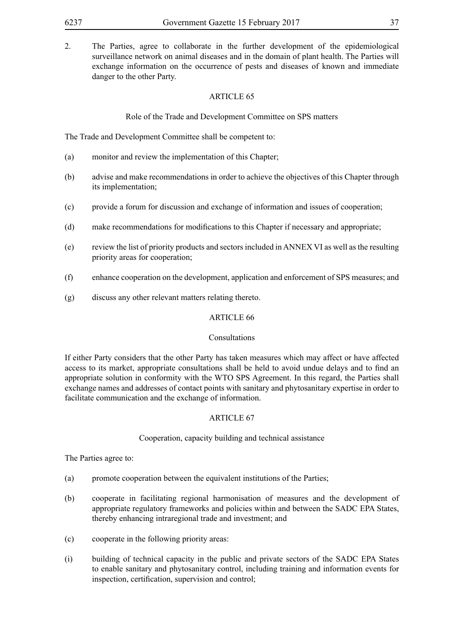2. The Parties, agree to collaborate in the further development of the epidemiological surveillance network on animal diseases and in the domain of plant health. The Parties will exchange information on the occurrence of pests and diseases of known and immediate danger to the other Party.

### ARTICLE 65

### Role of the Trade and Development Committee on SPS matters

The Trade and Development Committee shall be competent to:

- (a) monitor and review the implementation of this Chapter;
- (b) advise and make recommendations in order to achieve the objectives of this Chapter through its implementation;
- (c) provide a forum for discussion and exchange of information and issues of cooperation;
- (d) make recommendations for modifications to this Chapter if necessary and appropriate;
- (e) review the list of priority products and sectors included in ANNEX VI as well as the resulting priority areas for cooperation;
- (f) enhance cooperation on the development, application and enforcement of SPS measures; and
- (g) discuss any other relevant matters relating thereto.

#### ARTICLE 66

#### Consultations

If either Party considers that the other Party has taken measures which may affect or have affected access to its market, appropriate consultations shall be held to avoid undue delays and to find an appropriate solution in conformity with the WTO SPS Agreement. In this regard, the Parties shall exchange names and addresses of contact points with sanitary and phytosanitary expertise in order to facilitate communication and the exchange of information.

#### ARTICLE 67

#### Cooperation, capacity building and technical assistance

The Parties agree to:

- (a) promote cooperation between the equivalent institutions of the Parties;
- (b) cooperate in facilitating regional harmonisation of measures and the development of appropriate regulatory frameworks and policies within and between the SADC EPA States, thereby enhancing intraregional trade and investment; and
- (c) cooperate in the following priority areas:
- (i) building of technical capacity in the public and private sectors of the SADC EPA States to enable sanitary and phytosanitary control, including training and information events for inspection, certification, supervision and control;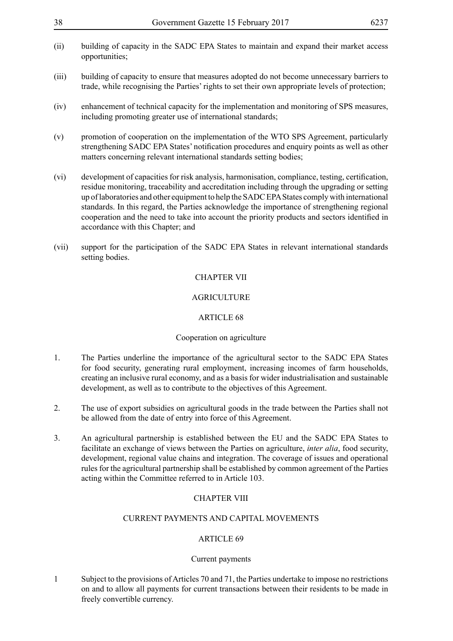- (ii) building of capacity in the SADC EPA States to maintain and expand their market access opportunities;
- (iii) building of capacity to ensure that measures adopted do not become unnecessary barriers to trade, while recognising the Parties' rights to set their own appropriate levels of protection;
- (iv) enhancement of technical capacity for the implementation and monitoring of SPS measures, including promoting greater use of international standards;
- (v) promotion of cooperation on the implementation of the WTO SPS Agreement, particularly strengthening SADC EPA States' notification procedures and enquiry points as well as other matters concerning relevant international standards setting bodies;
- (vi) development of capacities for risk analysis, harmonisation, compliance, testing, certification, residue monitoring, traceability and accreditation including through the upgrading or setting up of laboratories and other equipment to help the SADC EPA States comply with international standards. In this regard, the Parties acknowledge the importance of strengthening regional cooperation and the need to take into account the priority products and sectors identified in accordance with this Chapter; and
- (vii) support for the participation of the SADC EPA States in relevant international standards setting bodies.

#### CHAPTER VII

### **AGRICULTURE**

#### ARTICLE 68

#### Cooperation on agriculture

- 1. The Parties underline the importance of the agricultural sector to the SADC EPA States for food security, generating rural employment, increasing incomes of farm households, creating an inclusive rural economy, and as a basis for wider industrialisation and sustainable development, as well as to contribute to the objectives of this Agreement.
- 2. The use of export subsidies on agricultural goods in the trade between the Parties shall not be allowed from the date of entry into force of this Agreement.
- 3. An agricultural partnership is established between the EU and the SADC EPA States to facilitate an exchange of views between the Parties on agriculture, *inter alia*, food security, development, regional value chains and integration. The coverage of issues and operational rules for the agricultural partnership shall be established by common agreement of the Parties acting within the Committee referred to in Article 103.

#### CHAPTER VIII

### CURRENT PAYMENTS AND CAPITAL MOVEMENTS

#### ARTICLE 69

#### Current payments

1 Subject to the provisions of Articles 70 and 71, the Parties undertake to impose no restrictions on and to allow all payments for current transactions between their residents to be made in freely convertible currency.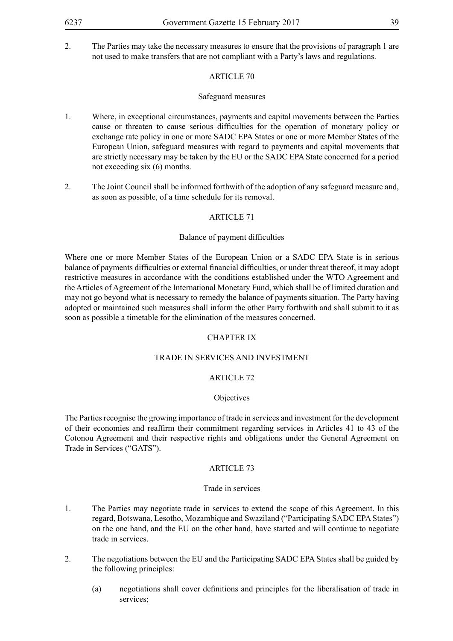2. The Parties may take the necessary measures to ensure that the provisions of paragraph 1 are not used to make transfers that are not compliant with a Party's laws and regulations.

### ARTICLE 70

### Safeguard measures

- 1. Where, in exceptional circumstances, payments and capital movements between the Parties cause or threaten to cause serious difficulties for the operation of monetary policy or exchange rate policy in one or more SADC EPA States or one or more Member States of the European Union, safeguard measures with regard to payments and capital movements that are strictly necessary may be taken by the EU or the SADC EPA State concerned for a period not exceeding six (6) months.
- 2. The Joint Council shall be informed forthwith of the adoption of any safeguard measure and, as soon as possible, of a time schedule for its removal.

### ARTICLE 71

### Balance of payment difficulties

Where one or more Member States of the European Union or a SADC EPA State is in serious balance of payments difficulties or external financial difficulties, or under threat thereof, it may adopt restrictive measures in accordance with the conditions established under the WTO Agreement and the Articles of Agreement of the International Monetary Fund, which shall be of limited duration and may not go beyond what is necessary to remedy the balance of payments situation. The Party having adopted or maintained such measures shall inform the other Party forthwith and shall submit to it as soon as possible a timetable for the elimination of the measures concerned.

### CHAPTER IX

#### TRADE IN SERVICES AND INVESTMENT

### ARTICLE 72

#### **Objectives**

The Parties recognise the growing importance of trade in services and investment for the development of their economies and reaffirm their commitment regarding services in Articles 41 to 43 of the Cotonou Agreement and their respective rights and obligations under the General Agreement on Trade in Services ("GATS").

#### ARTICLE 73

#### Trade in services

- 1. The Parties may negotiate trade in services to extend the scope of this Agreement. In this regard, Botswana, Lesotho, Mozambique and Swaziland ("Participating SADC EPA States") on the one hand, and the EU on the other hand, have started and will continue to negotiate trade in services.
- 2. The negotiations between the EU and the Participating SADC EPA States shall be guided by the following principles:
	- (a) negotiations shall cover definitions and principles for the liberalisation of trade in services;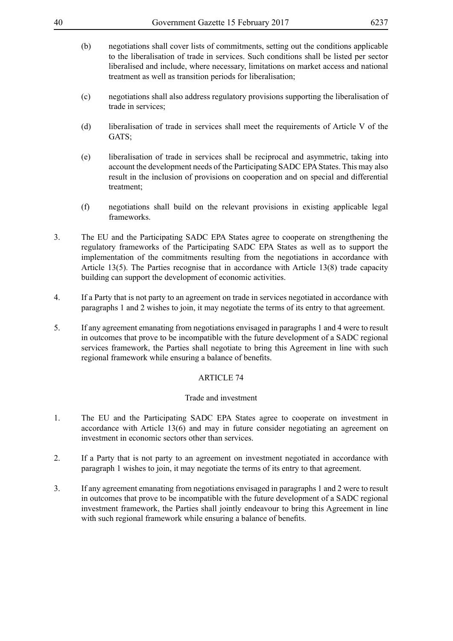- (b) negotiations shall cover lists of commitments, setting out the conditions applicable to the liberalisation of trade in services. Such conditions shall be listed per sector liberalised and include, where necessary, limitations on market access and national treatment as well as transition periods for liberalisation;
- (c) negotiations shall also address regulatory provisions supporting the liberalisation of trade in services;
- (d) liberalisation of trade in services shall meet the requirements of Article V of the GATS;
- (e) liberalisation of trade in services shall be reciprocal and asymmetric, taking into account the development needs of the Participating SADC EPA States. This may also result in the inclusion of provisions on cooperation and on special and differential treatment;
- (f) negotiations shall build on the relevant provisions in existing applicable legal frameworks.
- 3. The EU and the Participating SADC EPA States agree to cooperate on strengthening the regulatory frameworks of the Participating SADC EPA States as well as to support the implementation of the commitments resulting from the negotiations in accordance with Article 13(5). The Parties recognise that in accordance with Article 13(8) trade capacity building can support the development of economic activities.
- 4. If a Party that is not party to an agreement on trade in services negotiated in accordance with paragraphs 1 and 2 wishes to join, it may negotiate the terms of its entry to that agreement.
- 5. If any agreement emanating from negotiations envisaged in paragraphs 1 and 4 were to result in outcomes that prove to be incompatible with the future development of a SADC regional services framework, the Parties shall negotiate to bring this Agreement in line with such regional framework while ensuring a balance of benefits.

#### Trade and investment

- 1. The EU and the Participating SADC EPA States agree to cooperate on investment in accordance with Article 13(6) and may in future consider negotiating an agreement on investment in economic sectors other than services.
- 2. If a Party that is not party to an agreement on investment negotiated in accordance with paragraph 1 wishes to join, it may negotiate the terms of its entry to that agreement.
- 3. If any agreement emanating from negotiations envisaged in paragraphs 1 and 2 were to result in outcomes that prove to be incompatible with the future development of a SADC regional investment framework, the Parties shall jointly endeavour to bring this Agreement in line with such regional framework while ensuring a balance of benefits.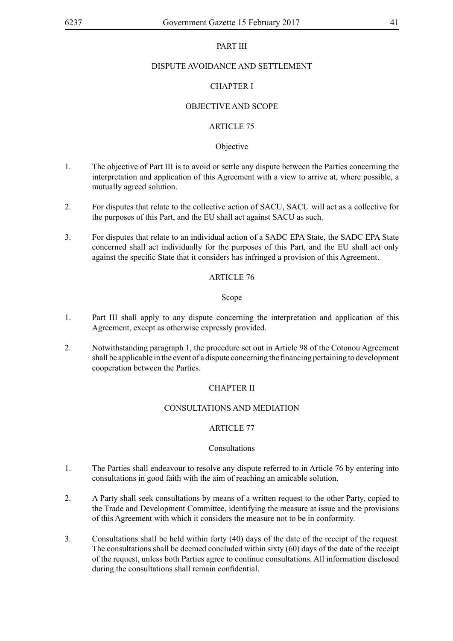### PART III

### DISPUTE AVOIDANCE AND SETTLEMENT

### CHAPTER I

### OBJECTIVE AND SCOPE

### ARTICLE 75

### Objective

- 1. The objective of Part III is to avoid or settle any dispute between the Parties concerning the interpretation and application of this Agreement with a view to arrive at, where possible, a mutually agreed solution.
- 2. For disputes that relate to the collective action of SACU, SACU will act as a collective for the purposes of this Part, and the EU shall act against SACU as such.
- 3. For disputes that relate to an individual action of a SADC EPA State, the SADC EPA State concerned shall act individually for the purposes of this Part, and the EU shall act only against the specific State that it considers has infringed a provision of this Agreement.

### ARTICLE 76

#### Scope

- 1. Part III shall apply to any dispute concerning the interpretation and application of this Agreement, except as otherwise expressly provided.
- 2. Notwithstanding paragraph 1, the procedure set out in Article 98 of the Cotonou Agreement shall be applicable in the event of a dispute concerning the financing pertaining to development cooperation between the Parties.

### CHAPTER II

### CONSULTATIONS AND MEDIATION

### ARTICLE 77

#### Consultations

- 1. The Parties shall endeavour to resolve any dispute referred to in Article 76 by entering into consultations in good faith with the aim of reaching an amicable solution.
- 2. A Party shall seek consultations by means of a written request to the other Party, copied to the Trade and Development Committee, identifying the measure at issue and the provisions of this Agreement with which it considers the measure not to be in conformity.
- 3. Consultations shall be held within forty (40) days of the date of the receipt of the request. The consultations shall be deemed concluded within sixty (60) days of the date of the receipt of the request, unless both Parties agree to continue consultations. All information disclosed during the consultations shall remain confidential.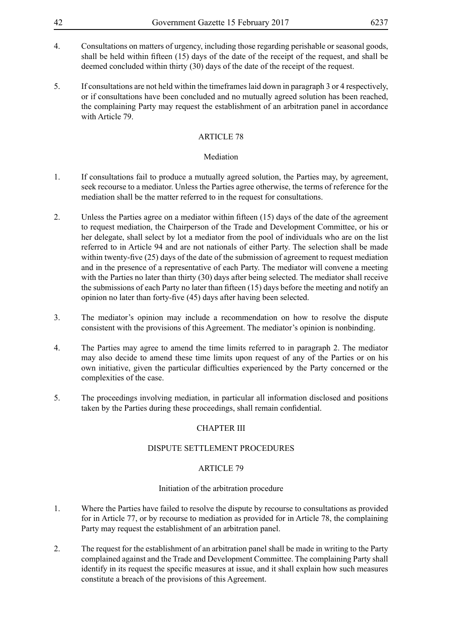- 4. Consultations on matters of urgency, including those regarding perishable or seasonal goods, shall be held within fifteen (15) days of the date of the receipt of the request, and shall be deemed concluded within thirty (30) days of the date of the receipt of the request.
- 5. If consultations are not held within the timeframes laid down in paragraph 3 or 4 respectively, or if consultations have been concluded and no mutually agreed solution has been reached, the complaining Party may request the establishment of an arbitration panel in accordance with Article 79.

### Mediation

- 1. If consultations fail to produce a mutually agreed solution, the Parties may, by agreement, seek recourse to a mediator. Unless the Parties agree otherwise, the terms of reference for the mediation shall be the matter referred to in the request for consultations.
- 2. Unless the Parties agree on a mediator within fifteen (15) days of the date of the agreement to request mediation, the Chairperson of the Trade and Development Committee, or his or her delegate, shall select by lot a mediator from the pool of individuals who are on the list referred to in Article 94 and are not nationals of either Party. The selection shall be made within twenty-five (25) days of the date of the submission of agreement to request mediation and in the presence of a representative of each Party. The mediator will convene a meeting with the Parties no later than thirty (30) days after being selected. The mediator shall receive the submissions of each Party no later than fifteen (15) days before the meeting and notify an opinion no later than forty-five (45) days after having been selected.
- 3. The mediator's opinion may include a recommendation on how to resolve the dispute consistent with the provisions of this Agreement. The mediator's opinion is nonbinding.
- 4. The Parties may agree to amend the time limits referred to in paragraph 2. The mediator may also decide to amend these time limits upon request of any of the Parties or on his own initiative, given the particular difficulties experienced by the Party concerned or the complexities of the case.
- 5. The proceedings involving mediation, in particular all information disclosed and positions taken by the Parties during these proceedings, shall remain confidential.

### CHAPTER III

### DISPUTE SETTLEMENT PROCEDURES

### ARTICLE 79

### Initiation of the arbitration procedure

- 1. Where the Parties have failed to resolve the dispute by recourse to consultations as provided for in Article 77, or by recourse to mediation as provided for in Article 78, the complaining Party may request the establishment of an arbitration panel.
- 2. The request for the establishment of an arbitration panel shall be made in writing to the Party complained against and the Trade and Development Committee. The complaining Party shall identify in its request the specific measures at issue, and it shall explain how such measures constitute a breach of the provisions of this Agreement.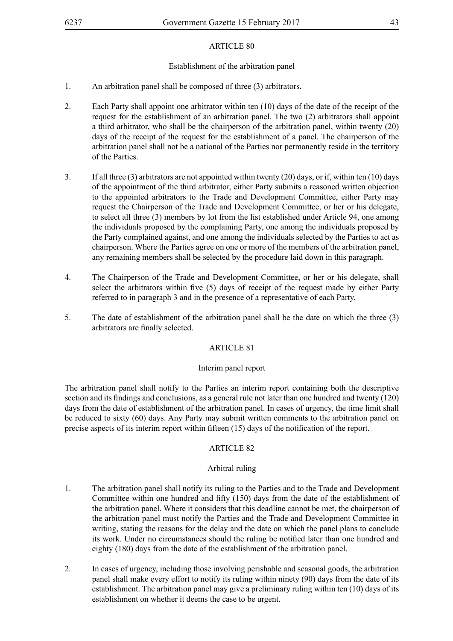### Establishment of the arbitration panel

- 1. An arbitration panel shall be composed of three (3) arbitrators.
- 2. Each Party shall appoint one arbitrator within ten (10) days of the date of the receipt of the request for the establishment of an arbitration panel. The two (2) arbitrators shall appoint a third arbitrator, who shall be the chairperson of the arbitration panel, within twenty (20) days of the receipt of the request for the establishment of a panel. The chairperson of the arbitration panel shall not be a national of the Parties nor permanently reside in the territory of the Parties.
- 3. If all three (3) arbitrators are not appointed within twenty (20) days, or if, within ten (10) days of the appointment of the third arbitrator, either Party submits a reasoned written objection to the appointed arbitrators to the Trade and Development Committee, either Party may request the Chairperson of the Trade and Development Committee, or her or his delegate, to select all three (3) members by lot from the list established under Article 94, one among the individuals proposed by the complaining Party, one among the individuals proposed by the Party complained against, and one among the individuals selected by the Parties to act as chairperson. Where the Parties agree on one or more of the members of the arbitration panel, any remaining members shall be selected by the procedure laid down in this paragraph.
- 4. The Chairperson of the Trade and Development Committee, or her or his delegate, shall select the arbitrators within five (5) days of receipt of the request made by either Party referred to in paragraph 3 and in the presence of a representative of each Party.
- 5. The date of establishment of the arbitration panel shall be the date on which the three (3) arbitrators are finally selected.

### ARTICLE 81

### Interim panel report

The arbitration panel shall notify to the Parties an interim report containing both the descriptive section and its findings and conclusions, as a general rule not later than one hundred and twenty (120) days from the date of establishment of the arbitration panel. In cases of urgency, the time limit shall be reduced to sixty (60) days. Any Party may submit written comments to the arbitration panel on precise aspects of its interim report within fifteen (15) days of the notification of the report.

### ARTICLE 82

### Arbitral ruling

- 1. The arbitration panel shall notify its ruling to the Parties and to the Trade and Development Committee within one hundred and fifty (150) days from the date of the establishment of the arbitration panel. Where it considers that this deadline cannot be met, the chairperson of the arbitration panel must notify the Parties and the Trade and Development Committee in writing, stating the reasons for the delay and the date on which the panel plans to conclude its work. Under no circumstances should the ruling be notified later than one hundred and eighty (180) days from the date of the establishment of the arbitration panel.
- 2. In cases of urgency, including those involving perishable and seasonal goods, the arbitration panel shall make every effort to notify its ruling within ninety (90) days from the date of its establishment. The arbitration panel may give a preliminary ruling within ten (10) days of its establishment on whether it deems the case to be urgent.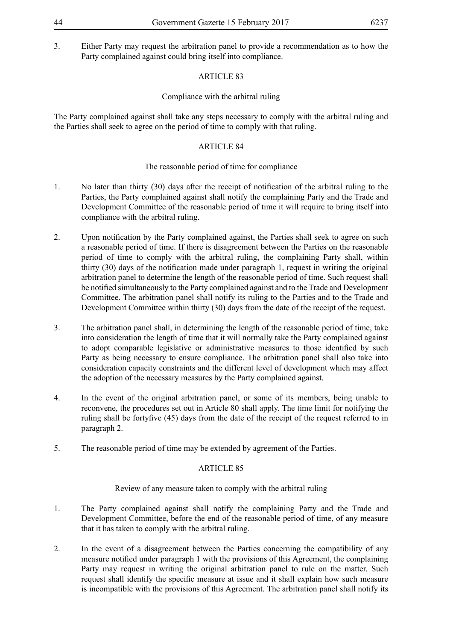3. Either Party may request the arbitration panel to provide a recommendation as to how the Party complained against could bring itself into compliance.

### ARTICLE 83

### Compliance with the arbitral ruling

The Party complained against shall take any steps necessary to comply with the arbitral ruling and the Parties shall seek to agree on the period of time to comply with that ruling.

### ARTICLE 84

### The reasonable period of time for compliance

- 1. No later than thirty (30) days after the receipt of notification of the arbitral ruling to the Parties, the Party complained against shall notify the complaining Party and the Trade and Development Committee of the reasonable period of time it will require to bring itself into compliance with the arbitral ruling.
- 2. Upon notification by the Party complained against, the Parties shall seek to agree on such a reasonable period of time. If there is disagreement between the Parties on the reasonable period of time to comply with the arbitral ruling, the complaining Party shall, within thirty (30) days of the notification made under paragraph 1, request in writing the original arbitration panel to determine the length of the reasonable period of time. Such request shall be notified simultaneously to the Party complained against and to the Trade and Development Committee. The arbitration panel shall notify its ruling to the Parties and to the Trade and Development Committee within thirty (30) days from the date of the receipt of the request.
- 3. The arbitration panel shall, in determining the length of the reasonable period of time, take into consideration the length of time that it will normally take the Party complained against to adopt comparable legislative or administrative measures to those identified by such Party as being necessary to ensure compliance. The arbitration panel shall also take into consideration capacity constraints and the different level of development which may affect the adoption of the necessary measures by the Party complained against.
- 4. In the event of the original arbitration panel, or some of its members, being unable to reconvene, the procedures set out in Article 80 shall apply. The time limit for notifying the ruling shall be fortyfive (45) days from the date of the receipt of the request referred to in paragraph 2.
- 5. The reasonable period of time may be extended by agreement of the Parties.

#### ARTICLE 85

### Review of any measure taken to comply with the arbitral ruling

- 1. The Party complained against shall notify the complaining Party and the Trade and Development Committee, before the end of the reasonable period of time, of any measure that it has taken to comply with the arbitral ruling.
- 2. In the event of a disagreement between the Parties concerning the compatibility of any measure notified under paragraph 1 with the provisions of this Agreement, the complaining Party may request in writing the original arbitration panel to rule on the matter. Such request shall identify the specific measure at issue and it shall explain how such measure is incompatible with the provisions of this Agreement. The arbitration panel shall notify its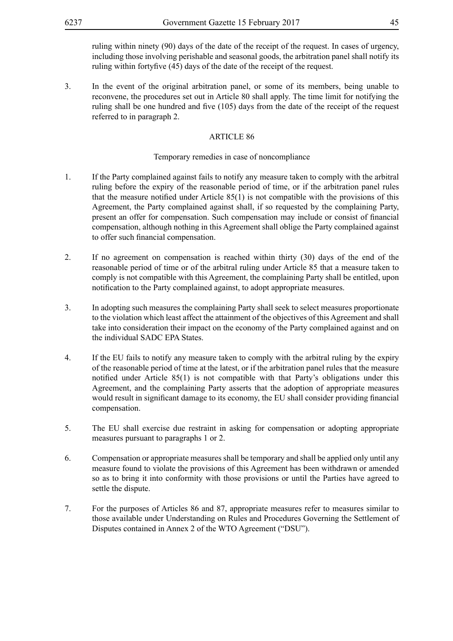ruling within ninety (90) days of the date of the receipt of the request. In cases of urgency, including those involving perishable and seasonal goods, the arbitration panel shall notify its ruling within fortyfive (45) days of the date of the receipt of the request.

3. In the event of the original arbitration panel, or some of its members, being unable to reconvene, the procedures set out in Article 80 shall apply. The time limit for notifying the ruling shall be one hundred and five (105) days from the date of the receipt of the request referred to in paragraph 2.

#### ARTICLE 86

### Temporary remedies in case of noncompliance

- 1. If the Party complained against fails to notify any measure taken to comply with the arbitral ruling before the expiry of the reasonable period of time, or if the arbitration panel rules that the measure notified under Article  $85(1)$  is not compatible with the provisions of this Agreement, the Party complained against shall, if so requested by the complaining Party, present an offer for compensation. Such compensation may include or consist of financial compensation, although nothing in this Agreement shall oblige the Party complained against to offer such financial compensation.
- 2. If no agreement on compensation is reached within thirty (30) days of the end of the reasonable period of time or of the arbitral ruling under Article 85 that a measure taken to comply is not compatible with this Agreement, the complaining Party shall be entitled, upon notification to the Party complained against, to adopt appropriate measures.
- 3. In adopting such measures the complaining Party shall seek to select measures proportionate to the violation which least affect the attainment of the objectives of this Agreement and shall take into consideration their impact on the economy of the Party complained against and on the individual SADC EPA States.
- 4. If the EU fails to notify any measure taken to comply with the arbitral ruling by the expiry of the reasonable period of time at the latest, or if the arbitration panel rules that the measure notified under Article 85(1) is not compatible with that Party's obligations under this Agreement, and the complaining Party asserts that the adoption of appropriate measures would result in significant damage to its economy, the EU shall consider providing financial compensation.
- 5. The EU shall exercise due restraint in asking for compensation or adopting appropriate measures pursuant to paragraphs 1 or 2.
- 6. Compensation or appropriate measures shall be temporary and shall be applied only until any measure found to violate the provisions of this Agreement has been withdrawn or amended so as to bring it into conformity with those provisions or until the Parties have agreed to settle the dispute.
- 7. For the purposes of Articles 86 and 87, appropriate measures refer to measures similar to those available under Understanding on Rules and Procedures Governing the Settlement of Disputes contained in Annex 2 of the WTO Agreement ("DSU").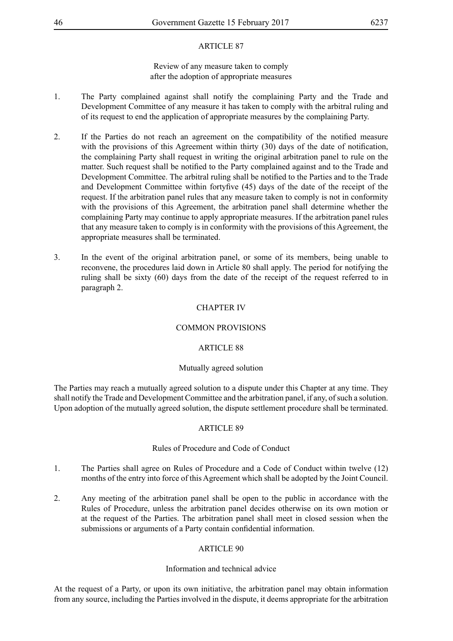### Review of any measure taken to comply after the adoption of appropriate measures

- 1. The Party complained against shall notify the complaining Party and the Trade and Development Committee of any measure it has taken to comply with the arbitral ruling and of its request to end the application of appropriate measures by the complaining Party.
- 2. If the Parties do not reach an agreement on the compatibility of the notified measure with the provisions of this Agreement within thirty (30) days of the date of notification, the complaining Party shall request in writing the original arbitration panel to rule on the matter. Such request shall be notified to the Party complained against and to the Trade and Development Committee. The arbitral ruling shall be notified to the Parties and to the Trade and Development Committee within fortyfive (45) days of the date of the receipt of the request. If the arbitration panel rules that any measure taken to comply is not in conformity with the provisions of this Agreement, the arbitration panel shall determine whether the complaining Party may continue to apply appropriate measures. If the arbitration panel rules that any measure taken to comply is in conformity with the provisions of this Agreement, the appropriate measures shall be terminated.
- 3. In the event of the original arbitration panel, or some of its members, being unable to reconvene, the procedures laid down in Article 80 shall apply. The period for notifying the ruling shall be sixty (60) days from the date of the receipt of the request referred to in paragraph 2.

### CHAPTER IV

### COMMON PROVISIONS

### ARTICLE 88

#### Mutually agreed solution

The Parties may reach a mutually agreed solution to a dispute under this Chapter at any time. They shall notify the Trade and Development Committee and the arbitration panel, if any, of such a solution. Upon adoption of the mutually agreed solution, the dispute settlement procedure shall be terminated.

#### ARTICLE 89

#### Rules of Procedure and Code of Conduct

- 1. The Parties shall agree on Rules of Procedure and a Code of Conduct within twelve (12) months of the entry into force of this Agreement which shall be adopted by the Joint Council.
- 2. Any meeting of the arbitration panel shall be open to the public in accordance with the Rules of Procedure, unless the arbitration panel decides otherwise on its own motion or at the request of the Parties. The arbitration panel shall meet in closed session when the submissions or arguments of a Party contain confidential information.

### ARTICLE 90

#### Information and technical advice

At the request of a Party, or upon its own initiative, the arbitration panel may obtain information from any source, including the Parties involved in the dispute, it deems appropriate for the arbitration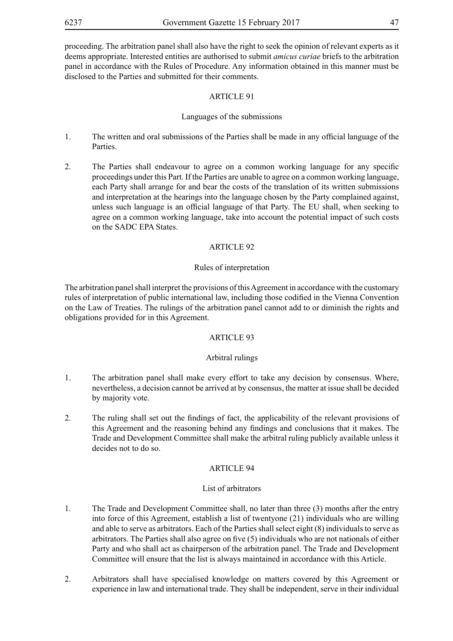proceeding. The arbitration panel shall also have the right to seek the opinion of relevant experts as it deems appropriate. Interested entities are authorised to submit *amicus curiae* briefs to the arbitration panel in accordance with the Rules of Procedure. Any information obtained in this manner must be disclosed to the Parties and submitted for their comments.

### ARTICLE 91

### Languages of the submissions

- 1. The written and oral submissions of the Parties shall be made in any official language of the Parties.
- 2. The Parties shall endeavour to agree on a common working language for any specific proceedings under this Part. If the Parties are unable to agree on a common working language, each Party shall arrange for and bear the costs of the translation of its written submissions and interpretation at the hearings into the language chosen by the Party complained against, unless such language is an official language of that Party. The EU shall, when seeking to agree on a common working language, take into account the potential impact of such costs on the SADC EPA States.

### ARTICLE 92

#### Rules of interpretation

The arbitration panel shall interpret the provisions of this Agreement in accordance with the customary rules of interpretation of public international law, including those codified in the Vienna Convention on the Law of Treaties. The rulings of the arbitration panel cannot add to or diminish the rights and obligations provided for in this Agreement.

### ARTICLE 93

#### Arbitral rulings

- 1. The arbitration panel shall make every effort to take any decision by consensus. Where, nevertheless, a decision cannot be arrived at by consensus, the matter at issue shall be decided by majority vote.
- 2. The ruling shall set out the findings of fact, the applicability of the relevant provisions of this Agreement and the reasoning behind any findings and conclusions that it makes. The Trade and Development Committee shall make the arbitral ruling publicly available unless it decides not to do so.

#### ARTICLE 94

#### List of arbitrators

- 1. The Trade and Development Committee shall, no later than three (3) months after the entry into force of this Agreement, establish a list of twentyone (21) individuals who are willing and able to serve as arbitrators. Each of the Parties shall select eight (8) individuals to serve as arbitrators. The Parties shall also agree on five (5) individuals who are not nationals of either Party and who shall act as chairperson of the arbitration panel. The Trade and Development Committee will ensure that the list is always maintained in accordance with this Article.
- 2. Arbitrators shall have specialised knowledge on matters covered by this Agreement or experience in law and international trade. They shall be independent, serve in their individual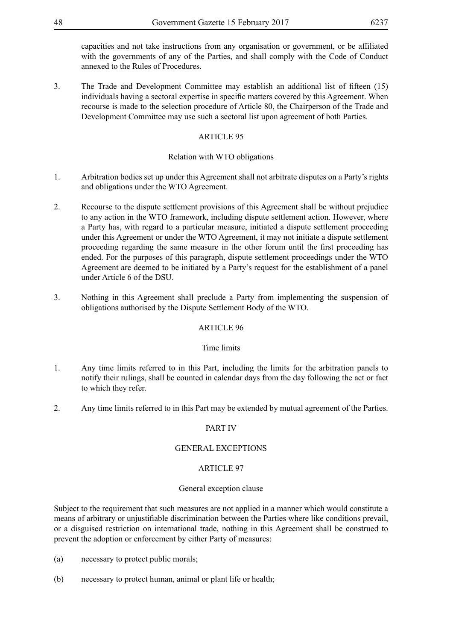capacities and not take instructions from any organisation or government, or be affiliated with the governments of any of the Parties, and shall comply with the Code of Conduct annexed to the Rules of Procedures.

3. The Trade and Development Committee may establish an additional list of fifteen (15) individuals having a sectoral expertise in specific matters covered by this Agreement. When recourse is made to the selection procedure of Article 80, the Chairperson of the Trade and Development Committee may use such a sectoral list upon agreement of both Parties.

### ARTICLE 95

### Relation with WTO obligations

- 1. Arbitration bodies set up under this Agreement shall not arbitrate disputes on a Party's rights and obligations under the WTO Agreement.
- 2. Recourse to the dispute settlement provisions of this Agreement shall be without prejudice to any action in the WTO framework, including dispute settlement action. However, where a Party has, with regard to a particular measure, initiated a dispute settlement proceeding under this Agreement or under the WTO Agreement, it may not initiate a dispute settlement proceeding regarding the same measure in the other forum until the first proceeding has ended. For the purposes of this paragraph, dispute settlement proceedings under the WTO Agreement are deemed to be initiated by a Party's request for the establishment of a panel under Article 6 of the DSU.
- 3. Nothing in this Agreement shall preclude a Party from implementing the suspension of obligations authorised by the Dispute Settlement Body of the WTO.

### ARTICLE 96

### Time limits

- 1. Any time limits referred to in this Part, including the limits for the arbitration panels to notify their rulings, shall be counted in calendar days from the day following the act or fact to which they refer.
- 2. Any time limits referred to in this Part may be extended by mutual agreement of the Parties.

## PART IV

### GENERAL EXCEPTIONS

### ARTICLE 97

### General exception clause

Subject to the requirement that such measures are not applied in a manner which would constitute a means of arbitrary or unjustifiable discrimination between the Parties where like conditions prevail, or a disguised restriction on international trade, nothing in this Agreement shall be construed to prevent the adoption or enforcement by either Party of measures:

- (a) necessary to protect public morals;
- (b) necessary to protect human, animal or plant life or health;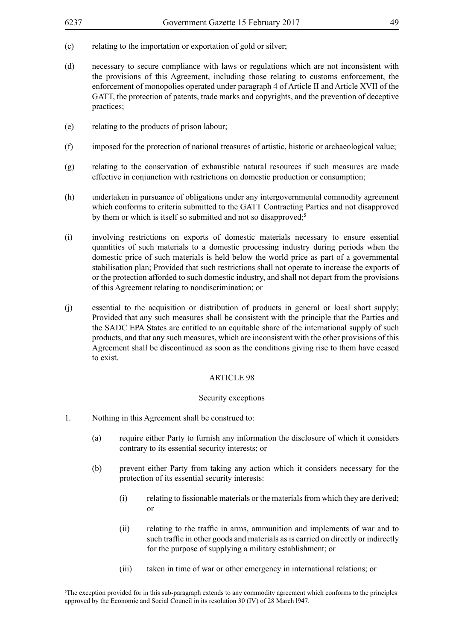- (c) relating to the importation or exportation of gold or silver;
- (d) necessary to secure compliance with laws or regulations which are not inconsistent with the provisions of this Agreement, including those relating to customs enforcement, the enforcement of monopolies operated under paragraph 4 of Article II and Article XVII of the GATT, the protection of patents, trade marks and copyrights, and the prevention of deceptive practices;
- (e) relating to the products of prison labour;
- (f) imposed for the protection of national treasures of artistic, historic or archaeological value;
- (g) relating to the conservation of exhaustible natural resources if such measures are made effective in conjunction with restrictions on domestic production or consumption;
- (h) undertaken in pursuance of obligations under any intergovernmental commodity agreement which conforms to criteria submitted to the GATT Contracting Parties and not disapproved by them or which is itself so submitted and not so disapproved;**<sup>5</sup>**
- (i) involving restrictions on exports of domestic materials necessary to ensure essential quantities of such materials to a domestic processing industry during periods when the domestic price of such materials is held below the world price as part of a governmental stabilisation plan; Provided that such restrictions shall not operate to increase the exports of or the protection afforded to such domestic industry, and shall not depart from the provisions of this Agreement relating to nondiscrimination; or
- (j) essential to the acquisition or distribution of products in general or local short supply; Provided that any such measures shall be consistent with the principle that the Parties and the SADC EPA States are entitled to an equitable share of the international supply of such products, and that any such measures, which are inconsistent with the other provisions of this Agreement shall be discontinued as soon as the conditions giving rise to them have ceased to exist.

#### Security exceptions

- 1. Nothing in this Agreement shall be construed to:
	- (a) require either Party to furnish any information the disclosure of which it considers contrary to its essential security interests; or
	- (b) prevent either Party from taking any action which it considers necessary for the protection of its essential security interests:
		- (i) relating to fissionable materials or the materials from which they are derived; or
		- (ii) relating to the traffic in arms, ammunition and implements of war and to such traffic in other goods and materials as is carried on directly or indirectly for the purpose of supplying a military establishment; or
		- (iii) taken in time of war or other emergency in international relations; or

<sup>5</sup> The exception provided for in this sub-paragraph extends to any commodity agreement which conforms to the principles approved by the Economic and Social Council in its resolution 30 (IV) of 28 March l947.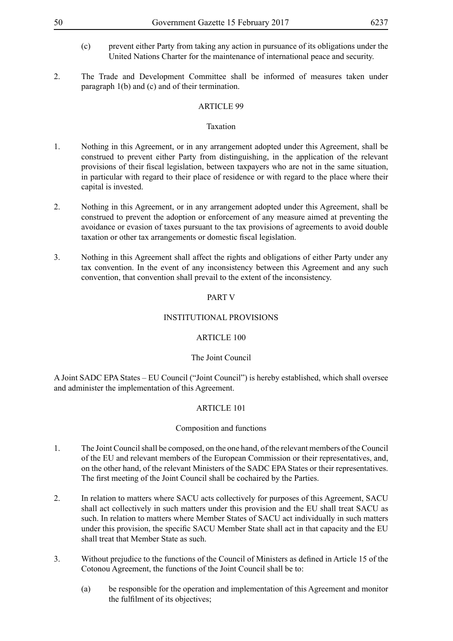- (c) prevent either Party from taking any action in pursuance of its obligations under the United Nations Charter for the maintenance of international peace and security.
- 2. The Trade and Development Committee shall be informed of measures taken under paragraph 1(b) and (c) and of their termination.

### Taxation

- 1. Nothing in this Agreement, or in any arrangement adopted under this Agreement, shall be construed to prevent either Party from distinguishing, in the application of the relevant provisions of their fiscal legislation, between taxpayers who are not in the same situation, in particular with regard to their place of residence or with regard to the place where their capital is invested.
- 2. Nothing in this Agreement, or in any arrangement adopted under this Agreement, shall be construed to prevent the adoption or enforcement of any measure aimed at preventing the avoidance or evasion of taxes pursuant to the tax provisions of agreements to avoid double taxation or other tax arrangements or domestic fiscal legislation.
- 3. Nothing in this Agreement shall affect the rights and obligations of either Party under any tax convention. In the event of any inconsistency between this Agreement and any such convention, that convention shall prevail to the extent of the inconsistency.

### PART V

### INSTITUTIONAL PROVISIONS

### ARTICLE 100

### The Joint Council

A Joint SADC EPA States – EU Council ("Joint Council") is hereby established, which shall oversee and administer the implementation of this Agreement.

## ARTICLE 101

### Composition and functions

- 1. The Joint Council shall be composed, on the one hand, of the relevant members of the Council of the EU and relevant members of the European Commission or their representatives, and, on the other hand, of the relevant Ministers of the SADC EPA States or their representatives. The first meeting of the Joint Council shall be cochaired by the Parties.
- 2. In relation to matters where SACU acts collectively for purposes of this Agreement, SACU shall act collectively in such matters under this provision and the EU shall treat SACU as such. In relation to matters where Member States of SACU act individually in such matters under this provision, the specific SACU Member State shall act in that capacity and the EU shall treat that Member State as such.
- 3. Without prejudice to the functions of the Council of Ministers as defined in Article 15 of the Cotonou Agreement, the functions of the Joint Council shall be to:
	- (a) be responsible for the operation and implementation of this Agreement and monitor the fulfilment of its objectives;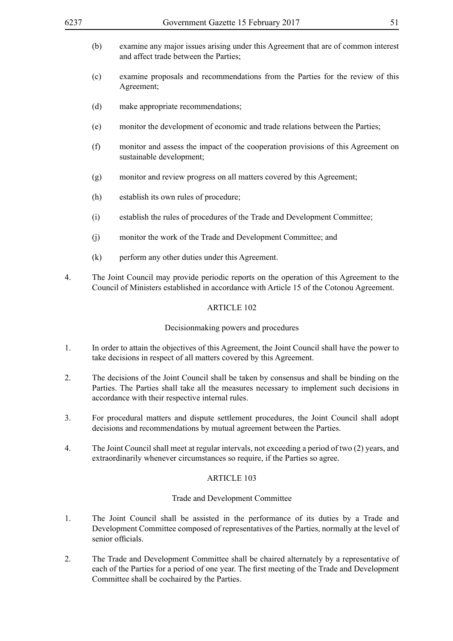- (b) examine any major issues arising under this Agreement that are of common interest and affect trade between the Parties:
- (c) examine proposals and recommendations from the Parties for the review of this Agreement;
- (d) make appropriate recommendations;
- (e) monitor the development of economic and trade relations between the Parties;
- (f) monitor and assess the impact of the cooperation provisions of this Agreement on sustainable development;
- (g) monitor and review progress on all matters covered by this Agreement;
- (h) establish its own rules of procedure;
- (i) establish the rules of procedures of the Trade and Development Committee;
- (j) monitor the work of the Trade and Development Committee; and
- (k) perform any other duties under this Agreement.
- 4. The Joint Council may provide periodic reports on the operation of this Agreement to the Council of Ministers established in accordance with Article 15 of the Cotonou Agreement.

#### Decisionmaking powers and procedures

- 1. In order to attain the objectives of this Agreement, the Joint Council shall have the power to take decisions in respect of all matters covered by this Agreement.
- 2. The decisions of the Joint Council shall be taken by consensus and shall be binding on the Parties. The Parties shall take all the measures necessary to implement such decisions in accordance with their respective internal rules.
- 3. For procedural matters and dispute settlement procedures, the Joint Council shall adopt decisions and recommendations by mutual agreement between the Parties.
- 4. The Joint Council shall meet at regular intervals, not exceeding a period of two (2) years, and extraordinarily whenever circumstances so require, if the Parties so agree.

### ARTICLE 103

#### Trade and Development Committee

- 1. The Joint Council shall be assisted in the performance of its duties by a Trade and Development Committee composed of representatives of the Parties, normally at the level of senior officials.
- 2. The Trade and Development Committee shall be chaired alternately by a representative of each of the Parties for a period of one year. The first meeting of the Trade and Development Committee shall be cochaired by the Parties.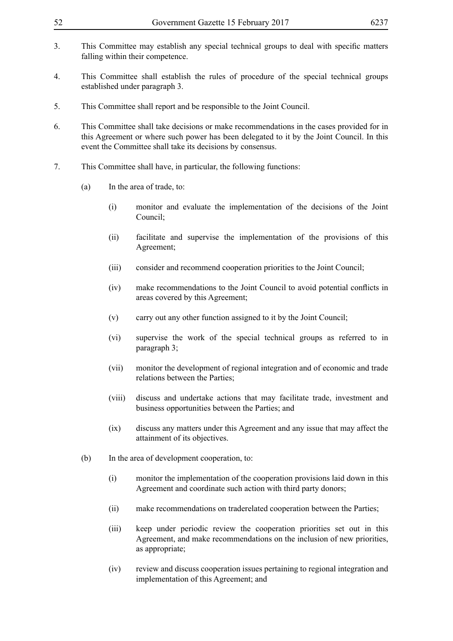- 
- 3. This Committee may establish any special technical groups to deal with specific matters falling within their competence.
- 4. This Committee shall establish the rules of procedure of the special technical groups established under paragraph 3.
- 5. This Committee shall report and be responsible to the Joint Council.
- 6. This Committee shall take decisions or make recommendations in the cases provided for in this Agreement or where such power has been delegated to it by the Joint Council. In this event the Committee shall take its decisions by consensus.
- 7. This Committee shall have, in particular, the following functions:
	- (a) In the area of trade, to:
		- (i) monitor and evaluate the implementation of the decisions of the Joint Council;
		- (ii) facilitate and supervise the implementation of the provisions of this Agreement;
		- (iii) consider and recommend cooperation priorities to the Joint Council;
		- (iv) make recommendations to the Joint Council to avoid potential conflicts in areas covered by this Agreement;
		- (v) carry out any other function assigned to it by the Joint Council;
		- (vi) supervise the work of the special technical groups as referred to in paragraph 3;
		- (vii) monitor the development of regional integration and of economic and trade relations between the Parties;
		- (viii) discuss and undertake actions that may facilitate trade, investment and business opportunities between the Parties; and
		- (ix) discuss any matters under this Agreement and any issue that may affect the attainment of its objectives.
	- (b) In the area of development cooperation, to:
		- (i) monitor the implementation of the cooperation provisions laid down in this Agreement and coordinate such action with third party donors;
		- (ii) make recommendations on traderelated cooperation between the Parties;
		- (iii) keep under periodic review the cooperation priorities set out in this Agreement, and make recommendations on the inclusion of new priorities, as appropriate;
		- (iv) review and discuss cooperation issues pertaining to regional integration and implementation of this Agreement; and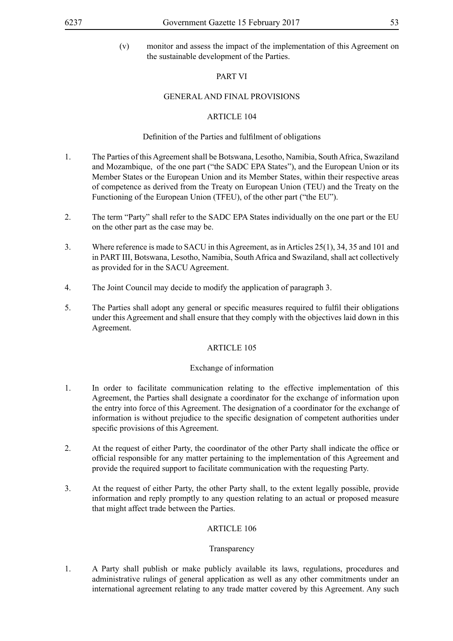(v) monitor and assess the impact of the implementation of this Agreement on the sustainable development of the Parties.

### PART VI

#### GENERAL AND FINAL PROVISIONS

### ARTICLE 104

### Definition of the Parties and fulfilment of obligations

- 1. The Parties of this Agreement shall be Botswana, Lesotho, Namibia, South Africa, Swaziland and Mozambique, of the one part ("the SADC EPA States"), and the European Union or its Member States or the European Union and its Member States, within their respective areas of competence as derived from the Treaty on European Union (TEU) and the Treaty on the Functioning of the European Union (TFEU), of the other part ("the EU").
- 2. The term "Party" shall refer to the SADC EPA States individually on the one part or the EU on the other part as the case may be.
- 3. Where reference is made to SACU in this Agreement, as in Articles 25(1), 34, 35 and 101 and in PART III, Botswana, Lesotho, Namibia, South Africa and Swaziland, shall act collectively as provided for in the SACU Agreement.
- 4. The Joint Council may decide to modify the application of paragraph 3.
- 5. The Parties shall adopt any general or specific measures required to fulfil their obligations under this Agreement and shall ensure that they comply with the objectives laid down in this Agreement.

#### ARTICLE 105

#### Exchange of information

- 1. In order to facilitate communication relating to the effective implementation of this Agreement, the Parties shall designate a coordinator for the exchange of information upon the entry into force of this Agreement. The designation of a coordinator for the exchange of information is without prejudice to the specific designation of competent authorities under specific provisions of this Agreement.
- 2. At the request of either Party, the coordinator of the other Party shall indicate the office or official responsible for any matter pertaining to the implementation of this Agreement and provide the required support to facilitate communication with the requesting Party.
- 3. At the request of either Party, the other Party shall, to the extent legally possible, provide information and reply promptly to any question relating to an actual or proposed measure that might affect trade between the Parties.

#### ARTICLE 106

#### Transparency

1. A Party shall publish or make publicly available its laws, regulations, procedures and administrative rulings of general application as well as any other commitments under an international agreement relating to any trade matter covered by this Agreement. Any such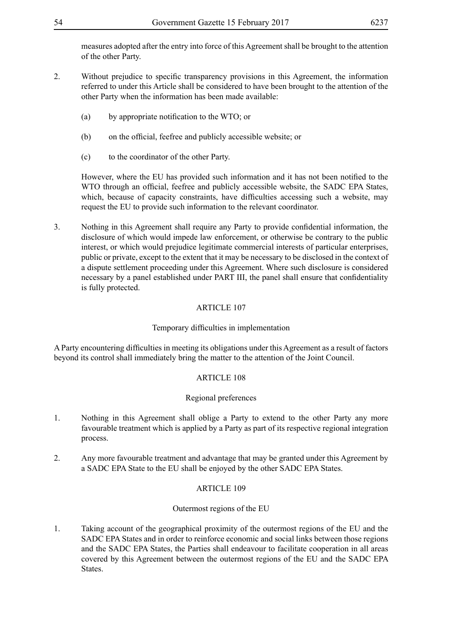measures adopted after the entry into force of this Agreement shall be brought to the attention of the other Party.

- 2. Without prejudice to specific transparency provisions in this Agreement, the information referred to under this Article shall be considered to have been brought to the attention of the other Party when the information has been made available:
	- (a) by appropriate notification to the WTO; or
	- (b) on the official, feefree and publicly accessible website; or
	- (c) to the coordinator of the other Party.

However, where the EU has provided such information and it has not been notified to the WTO through an official, feefree and publicly accessible website, the SADC EPA States, which, because of capacity constraints, have difficulties accessing such a website, may request the EU to provide such information to the relevant coordinator.

3. Nothing in this Agreement shall require any Party to provide confidential information, the disclosure of which would impede law enforcement, or otherwise be contrary to the public interest, or which would prejudice legitimate commercial interests of particular enterprises, public or private, except to the extent that it may be necessary to be disclosed in the context of a dispute settlement proceeding under this Agreement. Where such disclosure is considered necessary by a panel established under PART III, the panel shall ensure that confidentiality is fully protected.

### ARTICLE 107

### Temporary difficulties in implementation

A Party encountering difficulties in meeting its obligations under this Agreement as a result of factors beyond its control shall immediately bring the matter to the attention of the Joint Council.

### ARTICLE 108

### Regional preferences

- 1. Nothing in this Agreement shall oblige a Party to extend to the other Party any more favourable treatment which is applied by a Party as part of its respective regional integration process.
- 2. Any more favourable treatment and advantage that may be granted under this Agreement by a SADC EPA State to the EU shall be enjoyed by the other SADC EPA States.

### ARTICLE 109

### Outermost regions of the EU

1. Taking account of the geographical proximity of the outermost regions of the EU and the SADC EPA States and in order to reinforce economic and social links between those regions and the SADC EPA States, the Parties shall endeavour to facilitate cooperation in all areas covered by this Agreement between the outermost regions of the EU and the SADC EPA **States**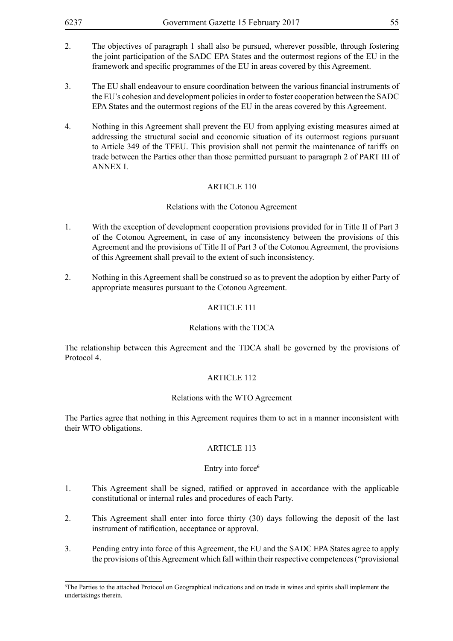- 2. The objectives of paragraph 1 shall also be pursued, wherever possible, through fostering the joint participation of the SADC EPA States and the outermost regions of the EU in the framework and specific programmes of the EU in areas covered by this Agreement.
- 3. The EU shall endeavour to ensure coordination between the various financial instruments of the EU's cohesion and development policies in order to foster cooperation between the SADC EPA States and the outermost regions of the EU in the areas covered by this Agreement.
- 4. Nothing in this Agreement shall prevent the EU from applying existing measures aimed at addressing the structural social and economic situation of its outermost regions pursuant to Article 349 of the TFEU. This provision shall not permit the maintenance of tariffs on trade between the Parties other than those permitted pursuant to paragraph 2 of PART III of ANNEX I.

#### Relations with the Cotonou Agreement

- 1. With the exception of development cooperation provisions provided for in Title II of Part 3 of the Cotonou Agreement, in case of any inconsistency between the provisions of this Agreement and the provisions of Title II of Part 3 of the Cotonou Agreement, the provisions of this Agreement shall prevail to the extent of such inconsistency.
- 2. Nothing in this Agreement shall be construed so as to prevent the adoption by either Party of appropriate measures pursuant to the Cotonou Agreement.

### ARTICLE 111

#### Relations with the TDCA

The relationship between this Agreement and the TDCA shall be governed by the provisions of Protocol 4.

### ARTICLE 112

#### Relations with the WTO Agreement

The Parties agree that nothing in this Agreement requires them to act in a manner inconsistent with their WTO obligations.

### ARTICLE 113

#### Entry into force**<sup>6</sup>**

- 1. This Agreement shall be signed, ratified or approved in accordance with the applicable constitutional or internal rules and procedures of each Party.
- 2. This Agreement shall enter into force thirty (30) days following the deposit of the last instrument of ratification, acceptance or approval.
- 3. Pending entry into force of this Agreement, the EU and the SADC EPA States agree to apply the provisions of this Agreement which fall within their respective competences ("provisional

<sup>6</sup> The Parties to the attached Protocol on Geographical indications and on trade in wines and spirits shall implement the undertakings therein.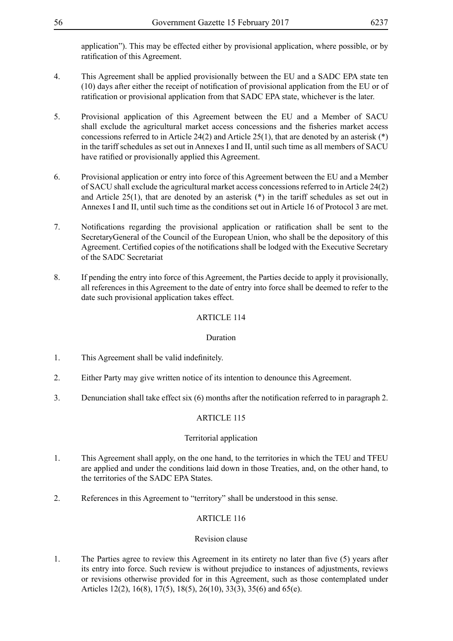application"). This may be effected either by provisional application, where possible, or by ratification of this Agreement.

- 4. This Agreement shall be applied provisionally between the EU and a SADC EPA state ten (10) days after either the receipt of notification of provisional application from the EU or of ratification or provisional application from that SADC EPA state, whichever is the later.
- 5. Provisional application of this Agreement between the EU and a Member of SACU shall exclude the agricultural market access concessions and the fisheries market access concessions referred to in Article 24(2) and Article 25(1), that are denoted by an asterisk (\*) in the tariff schedules as set out in Annexes I and II, until such time as all members of SACU have ratified or provisionally applied this Agreement.
- 6. Provisional application or entry into force of this Agreement between the EU and a Member of SACU shall exclude the agricultural market access concessions referred to in Article 24(2) and Article  $25(1)$ , that are denoted by an asterisk  $(*)$  in the tariff schedules as set out in Annexes I and II, until such time as the conditions set out in Article 16 of Protocol 3 are met.
- 7. Notifications regarding the provisional application or ratification shall be sent to the SecretaryGeneral of the Council of the European Union, who shall be the depository of this Agreement. Certified copies of the notifications shall be lodged with the Executive Secretary of the SADC Secretariat
- 8. If pending the entry into force of this Agreement, the Parties decide to apply it provisionally, all references in this Agreement to the date of entry into force shall be deemed to refer to the date such provisional application takes effect.

### ARTICLE 114

### Duration

- 1. This Agreement shall be valid indefinitely.
- 2. Either Party may give written notice of its intention to denounce this Agreement.
- 3. Denunciation shall take effect six (6) months after the notification referred to in paragraph 2.

### ARTICLE 115

### Territorial application

- 1. This Agreement shall apply, on the one hand, to the territories in which the TEU and TFEU are applied and under the conditions laid down in those Treaties, and, on the other hand, to the territories of the SADC EPA States.
- 2. References in this Agreement to "territory" shall be understood in this sense.

### ARTICLE 116

### Revision clause

1. The Parties agree to review this Agreement in its entirety no later than five (5) years after its entry into force. Such review is without prejudice to instances of adjustments, reviews or revisions otherwise provided for in this Agreement, such as those contemplated under Articles 12(2), 16(8), 17(5), 18(5), 26(10), 33(3), 35(6) and 65(e).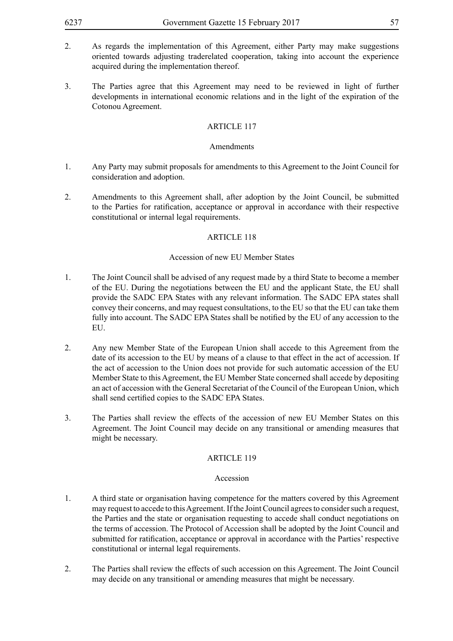- 2. As regards the implementation of this Agreement, either Party may make suggestions oriented towards adjusting traderelated cooperation, taking into account the experience acquired during the implementation thereof.
- 3. The Parties agree that this Agreement may need to be reviewed in light of further developments in international economic relations and in the light of the expiration of the Cotonou Agreement.

#### Amendments

- 1. Any Party may submit proposals for amendments to this Agreement to the Joint Council for consideration and adoption.
- 2. Amendments to this Agreement shall, after adoption by the Joint Council, be submitted to the Parties for ratification, acceptance or approval in accordance with their respective constitutional or internal legal requirements.

### ARTICLE 118

#### Accession of new EU Member States

- 1. The Joint Council shall be advised of any request made by a third State to become a member of the EU. During the negotiations between the EU and the applicant State, the EU shall provide the SADC EPA States with any relevant information. The SADC EPA states shall convey their concerns, and may request consultations, to the EU so that the EU can take them fully into account. The SADC EPA States shall be notified by the EU of any accession to the EU.
- 2. Any new Member State of the European Union shall accede to this Agreement from the date of its accession to the EU by means of a clause to that effect in the act of accession. If the act of accession to the Union does not provide for such automatic accession of the EU Member State to this Agreement, the EU Member State concerned shall accede by depositing an act of accession with the General Secretariat of the Council of the European Union, which shall send certified copies to the SADC EPA States.
- 3. The Parties shall review the effects of the accession of new EU Member States on this Agreement. The Joint Council may decide on any transitional or amending measures that might be necessary.

#### ARTICLE 119

#### Accession

- 1. A third state or organisation having competence for the matters covered by this Agreement may request to accede to this Agreement. If the Joint Council agrees to consider such a request, the Parties and the state or organisation requesting to accede shall conduct negotiations on the terms of accession. The Protocol of Accession shall be adopted by the Joint Council and submitted for ratification, acceptance or approval in accordance with the Parties' respective constitutional or internal legal requirements.
- 2. The Parties shall review the effects of such accession on this Agreement. The Joint Council may decide on any transitional or amending measures that might be necessary.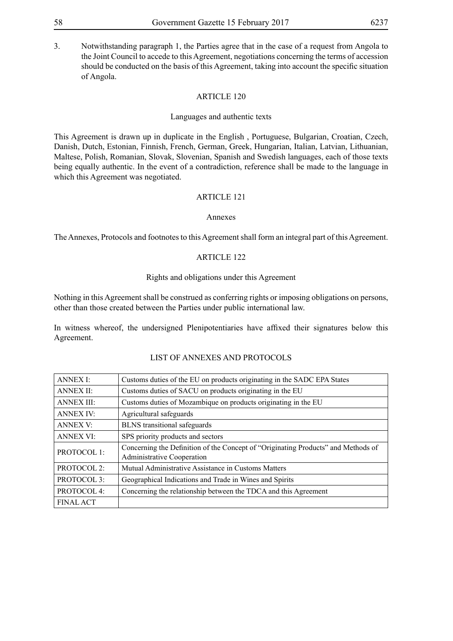3. Notwithstanding paragraph 1, the Parties agree that in the case of a request from Angola to the Joint Council to accede to this Agreement, negotiations concerning the terms of accession should be conducted on the basis of this Agreement, taking into account the specific situation of Angola.

### ARTICLE 120

#### Languages and authentic texts

This Agreement is drawn up in duplicate in the English , Portuguese, Bulgarian, Croatian, Czech, Danish, Dutch, Estonian, Finnish, French, German, Greek, Hungarian, Italian, Latvian, Lithuanian, Maltese, Polish, Romanian, Slovak, Slovenian, Spanish and Swedish languages, each of those texts being equally authentic. In the event of a contradiction, reference shall be made to the language in which this Agreement was negotiated.

#### ARTICLE 121

#### Annexes

The Annexes, Protocols and footnotes to this Agreement shall form an integral part of this Agreement.

#### ARTICLE 122

#### Rights and obligations under this Agreement

Nothing in this Agreement shall be construed as conferring rights or imposing obligations on persons, other than those created between the Parties under public international law.

In witness whereof, the undersigned Plenipotentiaries have affixed their signatures below this Agreement.

### LIST OF ANNEXES AND PROTOCOLS

| <b>ANNEX I:</b>        | Customs duties of the EU on products originating in the SADC EPA States                                                |  |
|------------------------|------------------------------------------------------------------------------------------------------------------------|--|
| <b>ANNEX II:</b>       | Customs duties of SACU on products originating in the EU                                                               |  |
| <b>ANNEX III:</b>      | Customs duties of Mozambique on products originating in the EU                                                         |  |
| <b>ANNEX IV:</b>       | Agricultural safeguards                                                                                                |  |
| <b>ANNEX V:</b>        | <b>BLNS</b> transitional safeguards                                                                                    |  |
| <b>ANNEX VI:</b>       | SPS priority products and sectors                                                                                      |  |
| PROTOCOL 1:            | Concerning the Definition of the Concept of "Originating Products" and Methods of<br><b>Administrative Cooperation</b> |  |
| PROTOCOL 2:            | Mutual Administrative Assistance in Customs Matters                                                                    |  |
| PROTOCOL 3:            | Geographical Indications and Trade in Wines and Spirits                                                                |  |
| PROTOCOL <sub>4:</sub> | Concerning the relationship between the TDCA and this Agreement                                                        |  |
| <b>FINAL ACT</b>       |                                                                                                                        |  |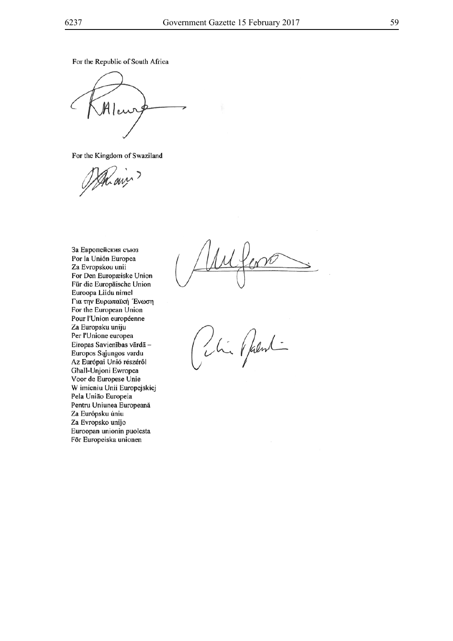For the Republic of South Africa

 $M$ lew

For the Kingdom of Swaziland

Mains

За Европейския съюз Por la Unión Europea Za Evropskou unii For Den Europæiske Union Für die Europäische Union Euroopa Liidu nimel Για την Ευρωπαϊκή Ένωση For the European Union Pour l'Union européenne Za Europsku uniju Per l'Unione europea Eiropas Savienības vārdā -Europos Sąjungos vardu Az Európai Unió részéről Ghall-Unjoni Ewropea Voor de Europese Unie W imieniu Unii Europejskiej Pela União Europeia Pentru Uniunea Europeană Za Európsku úniu Za Evropsko unijo Euroopan unionin puolesta För Europeiska unionen

Ví

in plant